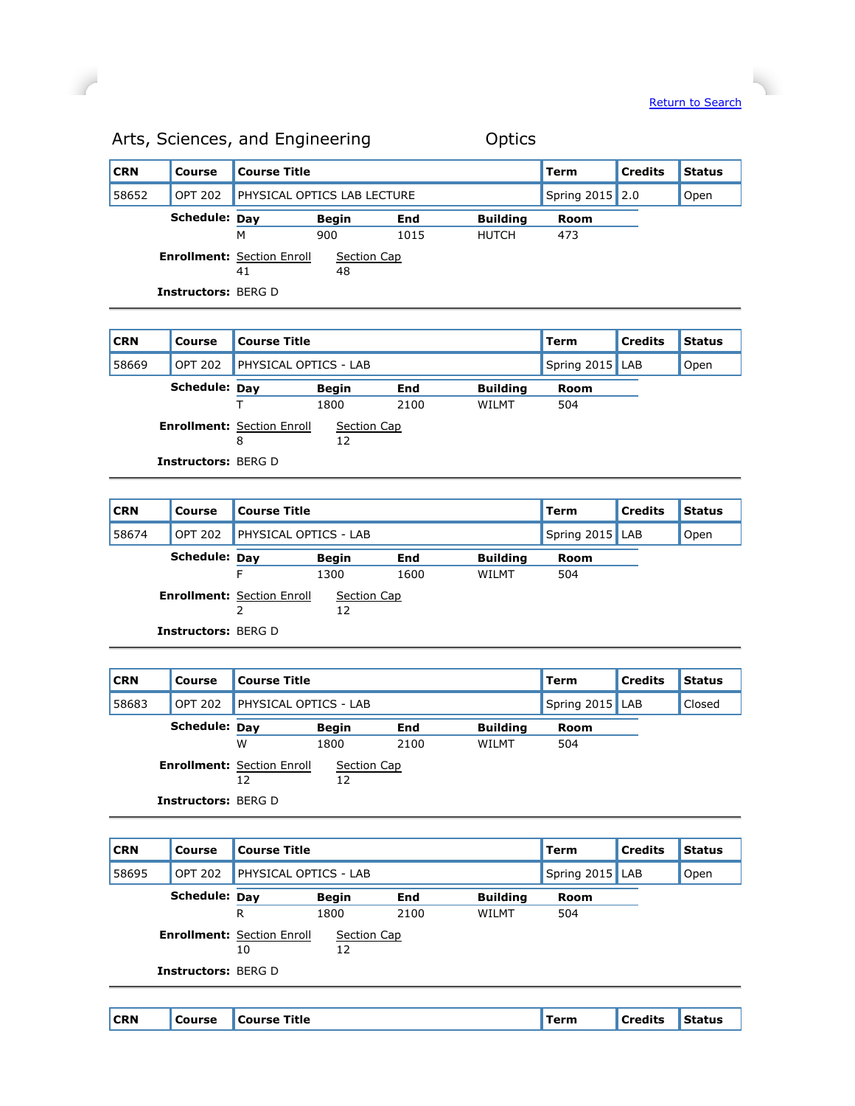$\overline{\phantom{a}}$ 

| <b>CRN</b> | Course                     | 'Course Title                           |                             |      |                 | Term            | <b>Credits</b> | <b>Status</b> |
|------------|----------------------------|-----------------------------------------|-----------------------------|------|-----------------|-----------------|----------------|---------------|
| 58652      | <b>OPT 202</b>             |                                         | PHYSICAL OPTICS LAB LECTURE |      |                 | Spring 2015 2.0 |                | Open          |
|            | Schedule: Day              |                                         | <b>Begin</b>                | End  | <b>Building</b> | Room            |                |               |
|            |                            | M                                       | 900                         | 1015 | <b>HUTCH</b>    | 473             |                |               |
|            |                            | <b>Enrollment: Section Enroll</b><br>41 | Section Cap<br>48           |      |                 |                 |                |               |
|            | <b>Instructors: BERG D</b> |                                         |                             |      |                 |                 |                |               |

## Arts, Sciences, and Engineering **Canadia** Optics

 $\overline{a}$ 

## **CRN Course Course Title COURGE COURS COURS COURS COURS COURS COURS COURS COURS COURS COURS COURS COURS COURS COURS COURS COURS COURS COURS COURS COURS COURS COURS COURS** 58669 OPT 202 PHYSICAL OPTICS - LAB Spring 2015 LAB Open **Schedule: Day Begin End Building Room** T 1800 2100 WILMT 504 **Enrollment:** Section Enroll 8 Section Cap 12 **Instructors:** BERG D

| <b>CRN</b> | Course                     | <b>Course Title</b>               |                   |      |                 | Term            | <b>Credits</b> | <b>Status</b> |
|------------|----------------------------|-----------------------------------|-------------------|------|-----------------|-----------------|----------------|---------------|
| 58674      | <b>OPT 202</b>             | <b>PHYSICAL OPTICS - LAB</b>      |                   |      |                 | Spring 2015 LAB |                | Open          |
|            | Schedule: Day              |                                   | <b>Begin</b>      | End  | <b>Building</b> | Room            |                |               |
|            |                            | F                                 | 1300              | 1600 | WILMT           | 504             |                |               |
|            |                            | <b>Enrollment: Section Enroll</b> | Section Cap<br>12 |      |                 |                 |                |               |
|            | <b>Instructors: BERG D</b> |                                   |                   |      |                 |                 |                |               |

| <b>CRN</b> | Course                     | <b>Course Title</b>                     |                   |      |                 | Term            | <b>Credits</b> | <b>Status</b> |
|------------|----------------------------|-----------------------------------------|-------------------|------|-----------------|-----------------|----------------|---------------|
| 58683      | OPT 202                    | PHYSICAL OPTICS - LAB                   |                   |      |                 | Spring 2015 LAB |                | Closed        |
|            | Schedule: Day              |                                         | <b>Begin</b>      | End  | <b>Building</b> | Room            |                |               |
|            |                            | W                                       | 1800              | 2100 | WILMT           | 504             |                |               |
|            |                            | <b>Enrollment: Section Enroll</b><br>12 | Section Cap<br>12 |      |                 |                 |                |               |
|            | <b>Instructors: BERG D</b> |                                         |                   |      |                 |                 |                |               |

| <b>CRN</b> | Course                     | Course Title                            |                   |      |                 | Term            | Credits | <b>Status</b> |
|------------|----------------------------|-----------------------------------------|-------------------|------|-----------------|-----------------|---------|---------------|
| 58695      | <b>OPT 202</b>             | <b>PHYSICAL OPTICS - LAB</b>            |                   |      |                 | Spring 2015 LAB |         | Open          |
|            | Schedule: Day              |                                         | <b>Begin</b>      | End  | <b>Building</b> | Room            |         |               |
|            |                            | R                                       | 1800              | 2100 | <b>WILMT</b>    | 504             |         |               |
|            |                            | <b>Enrollment: Section Enroll</b><br>10 | Section Cap<br>12 |      |                 |                 |         |               |
|            | <b>Instructors: BERG D</b> |                                         |                   |      |                 |                 |         |               |
|            |                            |                                         |                   |      |                 |                 |         |               |

|--|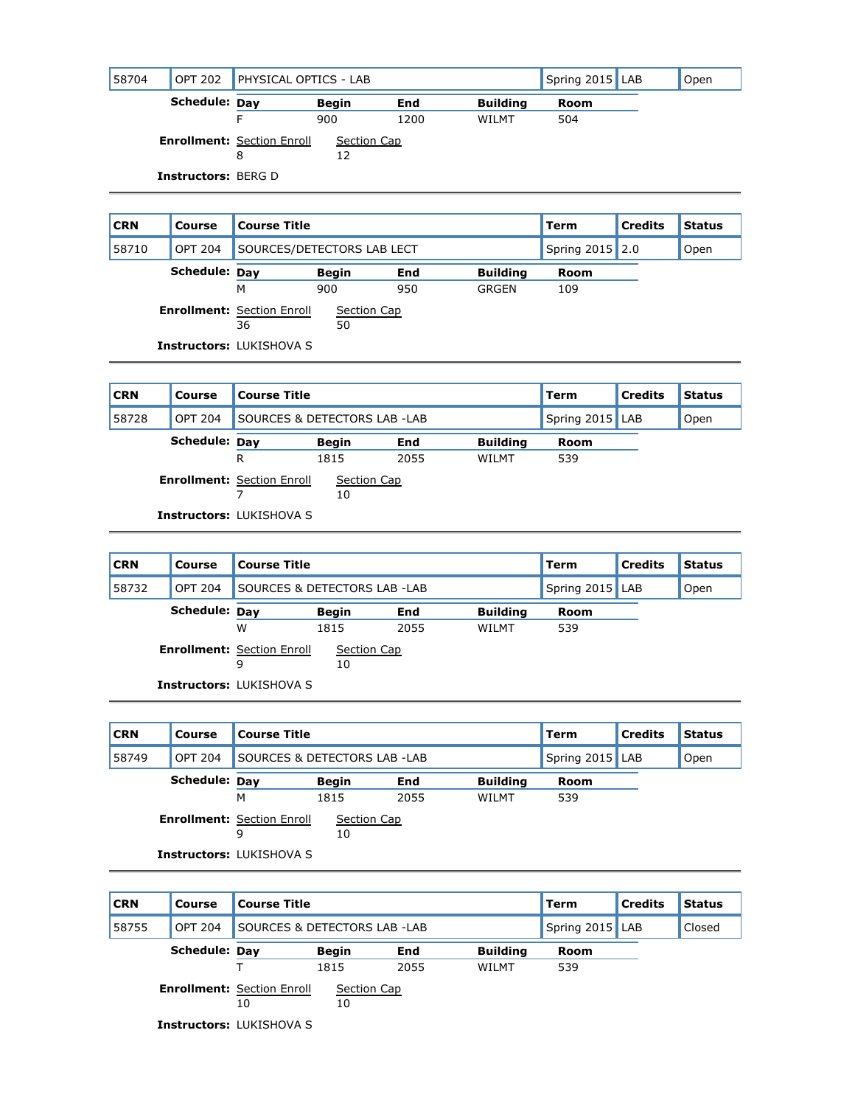| 58704 | <b>OPT 202</b>             | <b>PHYSICAL OPTICS - LAB</b>           |                   |      |                 | Spring 2015 LAB | Open |
|-------|----------------------------|----------------------------------------|-------------------|------|-----------------|-----------------|------|
|       | Schedule: Day              |                                        | <b>Begin</b>      | End  | <b>Building</b> | Room            |      |
|       |                            |                                        | 900               | 1200 | WILMT           | 504             |      |
|       |                            | <b>Enrollment: Section Enroll</b><br>8 | Section Cap<br>12 |      |                 |                 |      |
|       | <b>Instructors: BERG D</b> |                                        |                   |      |                 |                 |      |

| <b>CRN</b> | Course         | <b>Course Title</b>                     |                            |     |                 | Term            | <b>Credits</b> | <b>Status</b> |
|------------|----------------|-----------------------------------------|----------------------------|-----|-----------------|-----------------|----------------|---------------|
| 58710      | <b>OPT 204</b> |                                         | SOURCES/DETECTORS LAB LECT |     |                 | Spring 2015 2.0 |                | Open          |
|            | Schedule: Day  |                                         | <b>Begin</b>               | End | <b>Building</b> | Room            |                |               |
|            |                | м                                       | 900                        | 950 | GRGEN           | 109             |                |               |
|            |                | <b>Enrollment: Section Enroll</b><br>36 | Section Cap<br>50          |     |                 |                 |                |               |
|            |                | <b>Instructors: LUKISHOVA S</b>         |                            |     |                 |                 |                |               |



| <b>CRN</b> | Course         | <b>Course Title</b>                    |                              |      |                 | Term            | <b>Credits</b> | <b>Status</b> |
|------------|----------------|----------------------------------------|------------------------------|------|-----------------|-----------------|----------------|---------------|
| 58732      | <b>OPT 204</b> |                                        | SOURCES & DETECTORS LAB -LAB |      |                 | Spring 2015 LAB |                | Open          |
|            | Schedule: Day  |                                        | <b>Begin</b>                 | End  | <b>Building</b> | Room            |                |               |
|            |                | W                                      | 1815                         | 2055 | WILMT           | 539             |                |               |
|            |                | <b>Enrollment: Section Enroll</b><br>9 | Section Cap<br>10            |      |                 |                 |                |               |
|            |                | <b>Instructors: LUKISHOVA S</b>        |                              |      |                 |                 |                |               |

| <b>CRN</b> | Course         | <b>Course Title</b>                    |                              |      |                 | Term            | <b>Credits</b> | <b>Status</b> |
|------------|----------------|----------------------------------------|------------------------------|------|-----------------|-----------------|----------------|---------------|
| 58749      | <b>OPT 204</b> |                                        | SOURCES & DETECTORS LAB -LAB |      |                 | Spring 2015 LAB |                | Open          |
|            | Schedule: Dav  |                                        | <b>Begin</b>                 | End  | <b>Building</b> | Room            |                |               |
|            |                | м                                      | 1815                         | 2055 | WILMT           | 539             |                |               |
|            |                | <b>Enrollment: Section Enroll</b><br>9 | Section Cap<br>10            |      |                 |                 |                |               |
|            |                | <b>Instructors: LUKISHOVA S</b>        |                              |      |                 |                 |                |               |

| <b>CRN</b> | <b>Course</b>  | <b>Course Title</b>                     |                              |      |                 | Term            | <b>Credits</b> | <b>Status</b> |
|------------|----------------|-----------------------------------------|------------------------------|------|-----------------|-----------------|----------------|---------------|
| 58755      | <b>OPT 204</b> |                                         | SOURCES & DETECTORS LAB -LAB |      |                 | Spring 2015 LAB |                | Closed        |
|            | Schedule: Day  |                                         | <b>Begin</b>                 | End  | <b>Building</b> | <b>Room</b>     |                |               |
|            |                |                                         | 1815                         | 2055 | WILMT           | 539             |                |               |
|            |                | <b>Enrollment: Section Enroll</b><br>10 | Section Cap<br>10            |      |                 |                 |                |               |
|            |                | <b>Instructors: LUKISHOVA S</b>         |                              |      |                 |                 |                |               |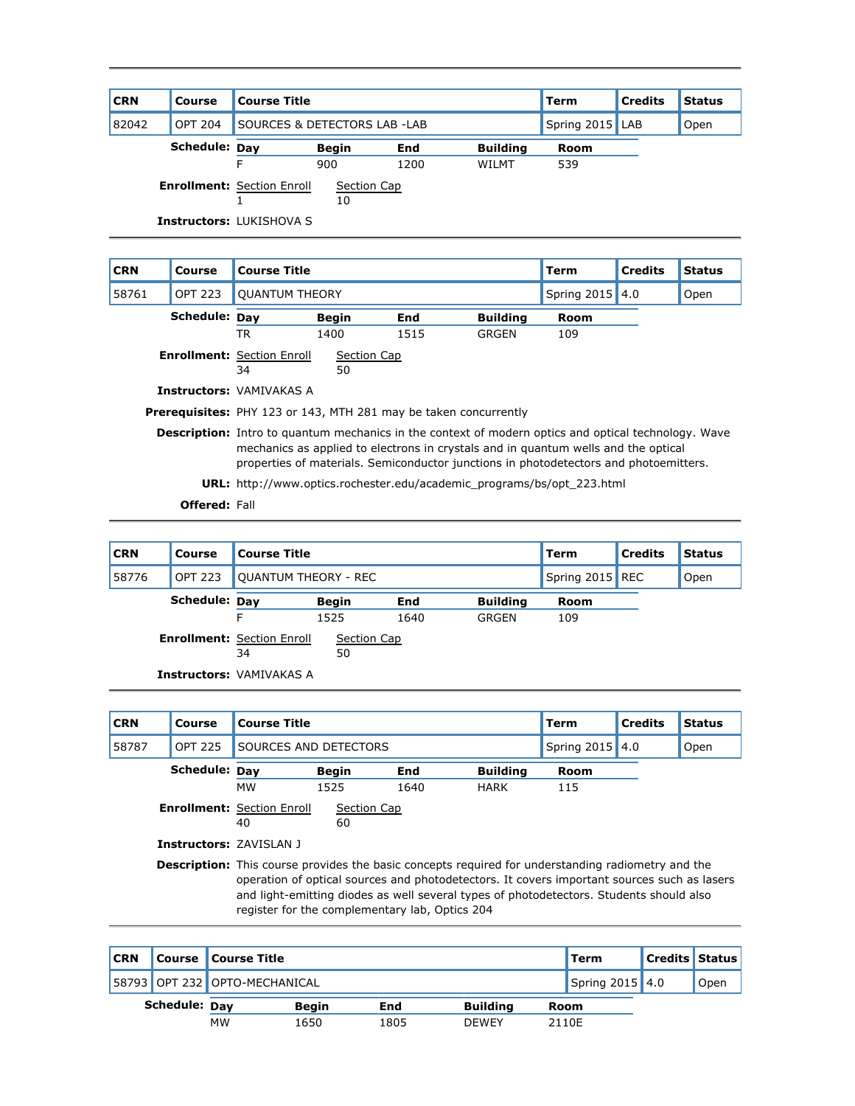| <b>CRN</b> | Course         | <b>Course Title</b>               |                                         |            |                 | Term            | <b>Credits</b> | <b>Status</b> |
|------------|----------------|-----------------------------------|-----------------------------------------|------------|-----------------|-----------------|----------------|---------------|
| 82042      | <b>OPT 204</b> |                                   | <b>SOURCES &amp; DETECTORS LAB -LAB</b> |            |                 | Spring 2015 LAB |                | Open          |
|            | Schedule: Day  |                                   | <b>Begin</b>                            | <b>End</b> | <b>Building</b> | Room            |                |               |
|            |                |                                   | 900                                     | 1200       | WII MT          | 539             |                |               |
|            |                | <b>Enrollment: Section Enroll</b> | Section Cap<br>10                       |            |                 |                 |                |               |
|            |                | <b>Instructors: LUKISHOVA S</b>   |                                         |            |                 |                 |                |               |

| <b>CRN</b>                                                                                                                                                                                                                                                                                 | Course         | <b>Course Title</b>                                          |              |                                                                         |                 | Term            | <b>Credits</b> | <b>Status</b> |  |
|--------------------------------------------------------------------------------------------------------------------------------------------------------------------------------------------------------------------------------------------------------------------------------------------|----------------|--------------------------------------------------------------|--------------|-------------------------------------------------------------------------|-----------------|-----------------|----------------|---------------|--|
| 58761                                                                                                                                                                                                                                                                                      | <b>OPT 223</b> | <b>OUANTUM THEORY</b>                                        |              |                                                                         |                 | Spring 2015 4.0 |                | Open          |  |
|                                                                                                                                                                                                                                                                                            | Schedule: Day  |                                                              | <b>Begin</b> | End                                                                     | <b>Building</b> | Room            |                |               |  |
|                                                                                                                                                                                                                                                                                            |                | TR                                                           | 1400         | 1515                                                                    | GRGEN           | 109             |                |               |  |
|                                                                                                                                                                                                                                                                                            |                | <b>Enrollment:</b> Section Enroll<br>Section Cap<br>50<br>34 |              |                                                                         |                 |                 |                |               |  |
| <b>Instructors: VAMIVAKAS A</b>                                                                                                                                                                                                                                                            |                |                                                              |              |                                                                         |                 |                 |                |               |  |
|                                                                                                                                                                                                                                                                                            |                |                                                              |              | <b>Prerequisites:</b> PHY 123 or 143, MTH 281 may be taken concurrently |                 |                 |                |               |  |
| <b>Description:</b> Intro to quantum mechanics in the context of modern optics and optical technology. Wave<br>mechanics as applied to electrons in crystals and in quantum wells and the optical<br>properties of materials. Semiconductor junctions in photodetectors and photoemitters. |                |                                                              |              |                                                                         |                 |                 |                |               |  |
| <b>URL:</b> http://www.optics.rochester.edu/academic_programs/bs/opt_223.html                                                                                                                                                                                                              |                |                                                              |              |                                                                         |                 |                 |                |               |  |

**Offered:** Fall

| <b>CRN</b> | Course         | Course Title                            |                             |            |                 | Term | <b>Credits</b>  | <b>Status</b> |
|------------|----------------|-----------------------------------------|-----------------------------|------------|-----------------|------|-----------------|---------------|
| 58776      | <b>OPT 223</b> |                                         | <b>OUANTUM THEORY - REC</b> |            |                 |      | Spring 2015 REC | Open          |
|            | Schedule: Day  |                                         | <b>Begin</b>                | <b>End</b> | <b>Building</b> | Room |                 |               |
|            |                | F                                       | 1525                        | 1640       | GRGEN           | 109  |                 |               |
|            |                | <b>Enrollment: Section Enroll</b><br>34 | Section Cap<br>50           |            |                 |      |                 |               |
|            |                | <b>Instructors: VAMIVAKAS A</b>         |                             |            |                 |      |                 |               |

| <b>CRN</b> | Course                         | <b>Course Title</b>                                                                                                                                                                                                                                                                                                                                   |              |            |                 | <b>Term</b>     | <b>Credits</b> | <b>Status</b> |
|------------|--------------------------------|-------------------------------------------------------------------------------------------------------------------------------------------------------------------------------------------------------------------------------------------------------------------------------------------------------------------------------------------------------|--------------|------------|-----------------|-----------------|----------------|---------------|
| 58787      | <b>OPT 225</b>                 | SOURCES AND DETECTORS                                                                                                                                                                                                                                                                                                                                 |              |            |                 | Spring 2015 4.0 |                | Open          |
|            | Schedule: Day                  |                                                                                                                                                                                                                                                                                                                                                       | <b>Begin</b> | <b>End</b> | <b>Building</b> | <b>Room</b>     |                |               |
|            |                                | <b>MW</b>                                                                                                                                                                                                                                                                                                                                             | 1525         | 1640       | <b>HARK</b>     | 115             |                |               |
|            |                                | <b>Enrollment: Section Enroll</b>                                                                                                                                                                                                                                                                                                                     | Section Cap  |            |                 |                 |                |               |
|            |                                | 40                                                                                                                                                                                                                                                                                                                                                    | 60           |            |                 |                 |                |               |
|            | <b>Instructors: ZAVISLAN 1</b> |                                                                                                                                                                                                                                                                                                                                                       |              |            |                 |                 |                |               |
|            |                                | <b>Description:</b> This course provides the basic concepts required for understanding radiometry and the<br>operation of optical sources and photodetectors. It covers important sources such as lasers<br>and light-emitting diodes as well several types of photodetectors. Students should also<br>register for the complementary lab, Optics 204 |              |            |                 |                 |                |               |

| <b>CRN</b>           |  | Course   Course Title         |              |      |                 |      | Term              | <b>Credits Status</b> |      |
|----------------------|--|-------------------------------|--------------|------|-----------------|------|-------------------|-----------------------|------|
|                      |  | 58793 OPT 232 OPTO-MECHANICAL |              |      |                 |      | Spring $2015$ 4.0 |                       | Open |
| <b>Schedule: Dav</b> |  |                               | <b>Beain</b> | End  | <b>Building</b> | Room |                   |                       |      |
|                      |  | <b>MW</b>                     | 1650         | 1805 | <b>DEWEY</b>    |      | 2110E             |                       |      |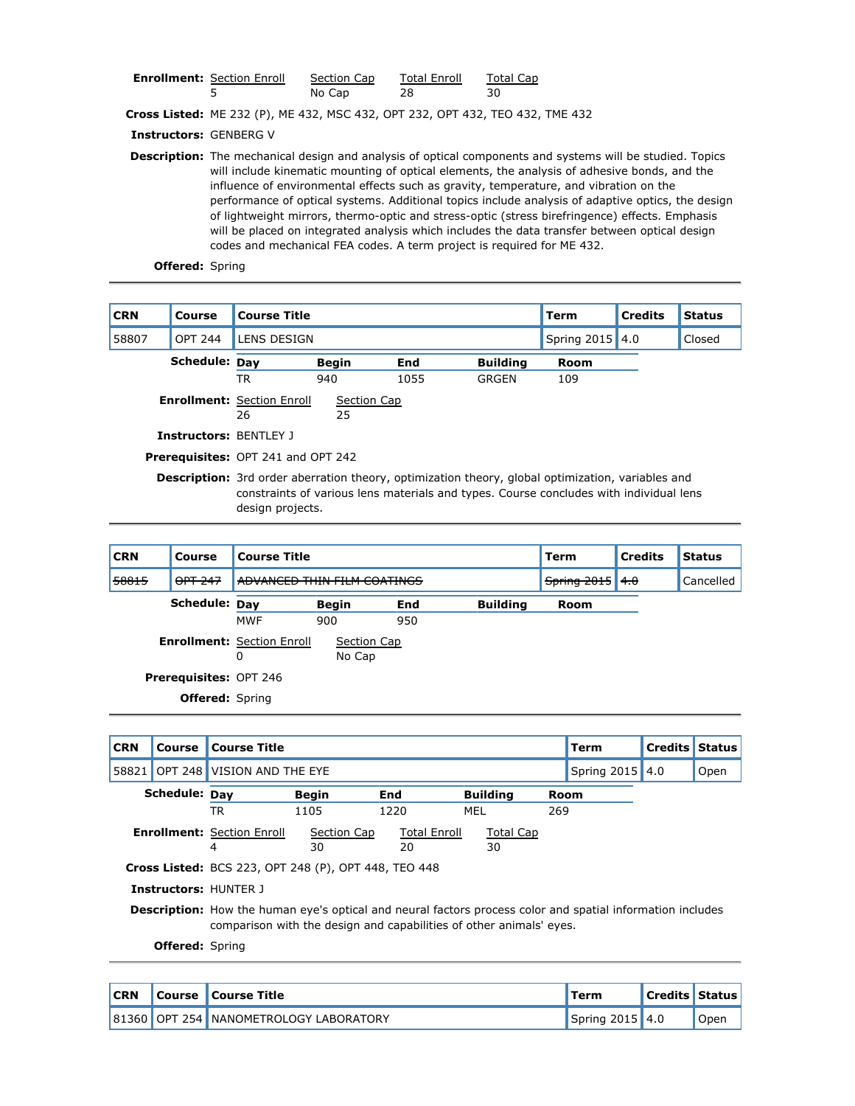| <b>Enrollment: Section Enroll</b> | Section Cap | <b>Total Enroll</b> | Total Cap |
|-----------------------------------|-------------|---------------------|-----------|
|                                   | No Cap      | 28                  |           |

**Cross Listed:** ME 232 (P), ME 432, MSC 432, OPT 232, OPT 432, TEO 432, TME 432

**Instructors:** GENBERG V

**Description:** The mechanical design and analysis of optical components and systems will be studied. Topics will include kinematic mounting of optical elements, the analysis of adhesive bonds, and the influence of environmental effects such as gravity, temperature, and vibration on the performance of optical systems. Additional topics include analysis of adaptive optics, the design of lightweight mirrors, thermo-optic and stress-optic (stress birefringence) effects. Emphasis will be placed on integrated analysis which includes the data transfer between optical design codes and mechanical FEA codes. A term project is required for ME 432.

**Offered:** Spring

| <b>CRN</b> | Course                        | <b>Course Title</b>                                                                                                                                                                                                    |                   |      |                 | Term            | <b>Credits</b> | <b>Status</b> |  |
|------------|-------------------------------|------------------------------------------------------------------------------------------------------------------------------------------------------------------------------------------------------------------------|-------------------|------|-----------------|-----------------|----------------|---------------|--|
| 58807      | <b>OPT 244</b>                | LENS DESIGN                                                                                                                                                                                                            |                   |      |                 | Spring 2015 4.0 |                | Closed        |  |
|            | Schedule: Day                 |                                                                                                                                                                                                                        | <b>Begin</b>      | End  | <b>Building</b> | Room            |                |               |  |
|            |                               | TR                                                                                                                                                                                                                     | 940               | 1055 | GRGEN           | 109             |                |               |  |
|            |                               | <b>Enrollment: Section Enroll</b><br>26                                                                                                                                                                                | Section Cap<br>25 |      |                 |                 |                |               |  |
|            | <b>Instructors: BENTLEY J</b> |                                                                                                                                                                                                                        |                   |      |                 |                 |                |               |  |
|            |                               | <b>Prerequisites: OPT 241 and OPT 242</b>                                                                                                                                                                              |                   |      |                 |                 |                |               |  |
|            |                               | <b>Description:</b> 3rd order aberration theory, optimization theory, global optimization, variables and<br>constraints of various lens materials and types. Course concludes with individual lens<br>design projects. |                   |      |                 |                 |                |               |  |

| <b>CRN</b> | Course                        | <b>Course Title</b>                    |                             |     |                 |      | <b>Credits</b>            | <b>Status</b> |
|------------|-------------------------------|----------------------------------------|-----------------------------|-----|-----------------|------|---------------------------|---------------|
| 58815      | OPT 247                       |                                        | ADVANCED THIN FILM COATINGS |     |                 |      | Spring 2015<br>$+ \theta$ | Cancelled     |
|            | Schedule: Day                 |                                        | Begin                       | End | <b>Building</b> | Room |                           |               |
|            |                               | <b>MWF</b>                             | 900                         | 950 |                 |      |                           |               |
|            |                               | <b>Enrollment: Section Enroll</b><br>0 | Section Cap<br>No Cap       |     |                 |      |                           |               |
|            | <b>Prerequisites: OPT 246</b> |                                        |                             |     |                 |      |                           |               |
|            | <b>Offered:</b> Spring        |                                        |                             |     |                 |      |                           |               |
|            |                               |                                        |                             |     |                 |      |                           |               |

| <b>CRN</b> | Course                 | <b>Course Title</b>                                                                                                                                                                      |              |                     |                  |      | Term            | <b>Credits</b> | <b>Status</b> |
|------------|------------------------|------------------------------------------------------------------------------------------------------------------------------------------------------------------------------------------|--------------|---------------------|------------------|------|-----------------|----------------|---------------|
| 58821      |                        | OPT 248 VISION AND THE EYE                                                                                                                                                               |              |                     |                  |      | Spring 2015 4.0 |                | Open          |
|            | Schedule: Day          |                                                                                                                                                                                          | <b>Begin</b> | End                 | <b>Building</b>  | Room |                 |                |               |
|            |                        | TR                                                                                                                                                                                       | 1105         | 1220                | MEL              | 269  |                 |                |               |
|            |                        | <b>Enrollment: Section Enroll</b>                                                                                                                                                        | Section Cap  | <b>Total Enroll</b> | <b>Total Cap</b> |      |                 |                |               |
|            |                        | 4                                                                                                                                                                                        | 30           | 20                  | 30               |      |                 |                |               |
|            |                        | <b>Cross Listed:</b> BCS 223, OPT 248 (P), OPT 448, TEO 448                                                                                                                              |              |                     |                  |      |                 |                |               |
|            |                        | <b>Instructors: HUNTER J</b>                                                                                                                                                             |              |                     |                  |      |                 |                |               |
|            |                        | <b>Description:</b> How the human eye's optical and neural factors process color and spatial information includes<br>comparison with the design and capabilities of other animals' eyes. |              |                     |                  |      |                 |                |               |
|            | <b>Offered:</b> Spring |                                                                                                                                                                                          |              |                     |                  |      |                 |                |               |

**CRN Course Course Title Term Credits Status** 81360 OPT 254 NANOMETROLOGY LABORATORY NAMEL Spring 2015 4.0 Open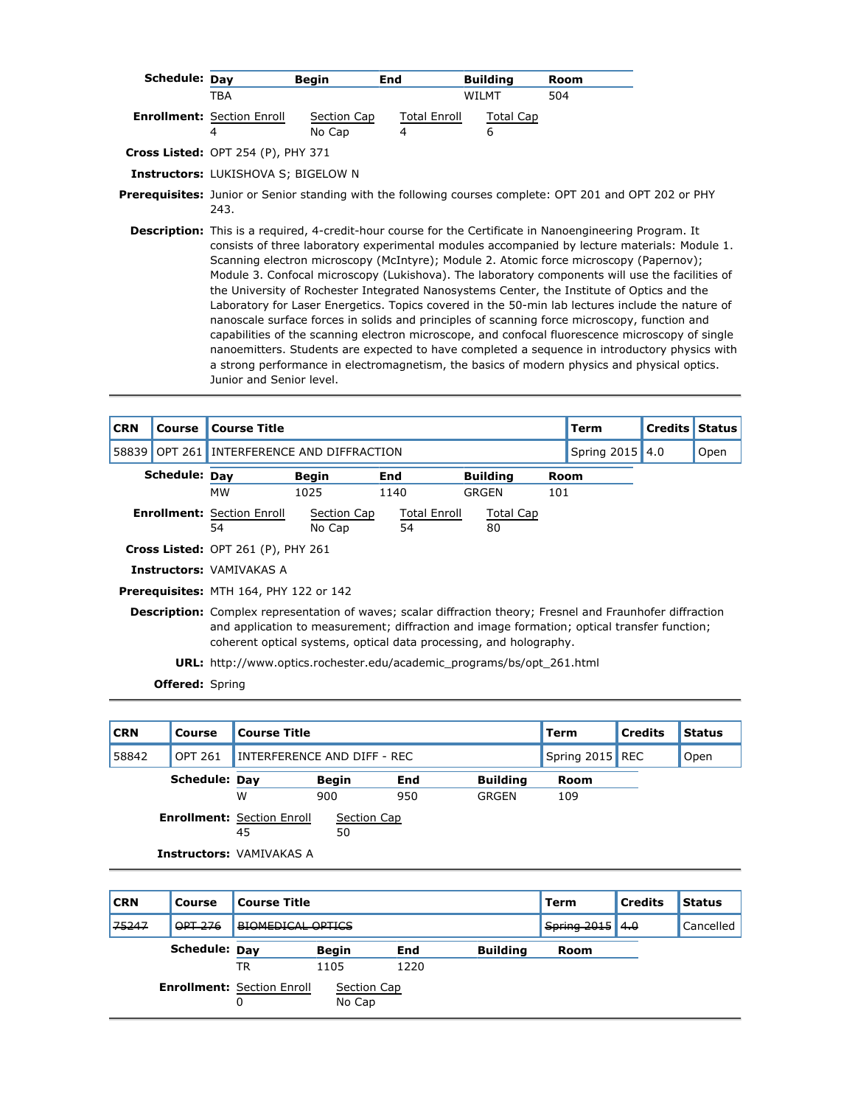| Schedule: Day |                                            | <b>Begin</b><br>End                                                                                                                                                                                                                                                                                                                                                                                                                                                                             |                          | <b>Building</b>       | Room |                                                                                                                                                                                                                                                                                                                                                                                                                                                                                                           |
|---------------|--------------------------------------------|-------------------------------------------------------------------------------------------------------------------------------------------------------------------------------------------------------------------------------------------------------------------------------------------------------------------------------------------------------------------------------------------------------------------------------------------------------------------------------------------------|--------------------------|-----------------------|------|-----------------------------------------------------------------------------------------------------------------------------------------------------------------------------------------------------------------------------------------------------------------------------------------------------------------------------------------------------------------------------------------------------------------------------------------------------------------------------------------------------------|
|               | TBA                                        |                                                                                                                                                                                                                                                                                                                                                                                                                                                                                                 |                          | <b>WILMT</b>          | 504  |                                                                                                                                                                                                                                                                                                                                                                                                                                                                                                           |
|               | <b>Enrollment: Section Enroll</b><br>4     | Section Cap<br>No Cap                                                                                                                                                                                                                                                                                                                                                                                                                                                                           | <b>Total Enroll</b><br>4 | <b>Total Cap</b><br>6 |      |                                                                                                                                                                                                                                                                                                                                                                                                                                                                                                           |
|               | Cross Listed: OPT 254 (P), PHY 371         |                                                                                                                                                                                                                                                                                                                                                                                                                                                                                                 |                          |                       |      |                                                                                                                                                                                                                                                                                                                                                                                                                                                                                                           |
|               | <b>Instructors: LUKISHOVA S; BIGELOW N</b> |                                                                                                                                                                                                                                                                                                                                                                                                                                                                                                 |                          |                       |      |                                                                                                                                                                                                                                                                                                                                                                                                                                                                                                           |
|               | 243.                                       | <b>Prerequisites:</b> Junior or Senior standing with the following courses complete: OPT 201 and OPT 202 or PHY                                                                                                                                                                                                                                                                                                                                                                                 |                          |                       |      |                                                                                                                                                                                                                                                                                                                                                                                                                                                                                                           |
|               | Junior and Senior level.                   | Description: This is a required, 4-credit-hour course for the Certificate in Nanoengineering Program. It<br>Scanning electron microscopy (McIntyre); Module 2. Atomic force microscopy (Papernov);<br>the University of Rochester Integrated Nanosystems Center, the Institute of Optics and the<br>nanoscale surface forces in solids and principles of scanning force microscopy, function and<br>a strong performance in electromagnetism, the basics of modern physics and physical optics. |                          |                       |      | consists of three laboratory experimental modules accompanied by lecture materials: Module 1.<br>Module 3. Confocal microscopy (Lukishova). The laboratory components will use the facilities of<br>Laboratory for Laser Energetics. Topics covered in the 50-min lab lectures include the nature of<br>capabilities of the scanning electron microscope, and confocal fluorescence microscopy of single<br>nanoemitters. Students are expected to have completed a sequence in introductory physics with |

| <b>CRN</b> | Course         | <b>Course Title</b>                                                           |                                                                                                                                                                                                                                                                                         |              |                 |     | Term            | <b>Credits Status</b> |      |
|------------|----------------|-------------------------------------------------------------------------------|-----------------------------------------------------------------------------------------------------------------------------------------------------------------------------------------------------------------------------------------------------------------------------------------|--------------|-----------------|-----|-----------------|-----------------------|------|
| 58839      | <b>OPT 261</b> | INTERFERENCE AND DIFFRACTION                                                  |                                                                                                                                                                                                                                                                                         |              |                 |     | Spring 2015 4.0 |                       | Open |
|            | Schedule: Day  |                                                                               | <b>Begin</b>                                                                                                                                                                                                                                                                            | End          | <b>Building</b> |     | Room            |                       |      |
|            |                | <b>MW</b>                                                                     | 1025                                                                                                                                                                                                                                                                                    | 1140         | <b>GRGEN</b>    | 101 |                 |                       |      |
|            |                | <b>Enrollment: Section Enroll</b>                                             | Section Cap                                                                                                                                                                                                                                                                             | Total Enroll | Total Cap       |     |                 |                       |      |
|            |                | 54                                                                            | No Cap                                                                                                                                                                                                                                                                                  | 54           | 80              |     |                 |                       |      |
|            |                | Cross Listed: OPT 261 (P), PHY 261                                            |                                                                                                                                                                                                                                                                                         |              |                 |     |                 |                       |      |
|            |                | <b>Instructors: VAMIVAKAS A</b>                                               |                                                                                                                                                                                                                                                                                         |              |                 |     |                 |                       |      |
|            |                | <b>Prerequisites: MTH 164, PHY 122 or 142</b>                                 |                                                                                                                                                                                                                                                                                         |              |                 |     |                 |                       |      |
|            |                |                                                                               | <b>Description:</b> Complex representation of waves; scalar diffraction theory; Fresnel and Fraunhofer diffraction<br>and application to measurement; diffraction and image formation; optical transfer function;<br>coherent optical systems, optical data processing, and holography. |              |                 |     |                 |                       |      |
|            |                | <b>URL:</b> http://www.optics.rochester.edu/academic programs/bs/opt 261.html |                                                                                                                                                                                                                                                                                         |              |                 |     |                 |                       |      |

| <b>CRN</b> | Course                            | <b>Course Title</b> |                             |            |                 | <b>Term</b> | <b>Credits</b>  | <b>Status</b> |
|------------|-----------------------------------|---------------------|-----------------------------|------------|-----------------|-------------|-----------------|---------------|
| 58842      | <b>OPT 261</b>                    |                     | INTERFERENCE AND DIFF - REC |            |                 |             | Spring 2015 REC | Open          |
|            | Schedule: Day                     |                     | <b>Begin</b>                | <b>End</b> | <b>Building</b> | <b>Room</b> |                 |               |
|            |                                   | W                   | 900                         | 950        | <b>GRGEN</b>    | 109         |                 |               |
|            | <b>Enrollment: Section Enroll</b> | 45                  | Section Cap<br>50           |            |                 |             |                 |               |
|            | <b>Instructors: VAMIVAKAS A</b>   |                     |                             |            |                 |             |                 |               |

| <b>CRN</b> | <b>Course</b> | <b>Course Title</b>                    |                       |      |                 |                               | <b>Credits</b> | <b>Status</b> |
|------------|---------------|----------------------------------------|-----------------------|------|-----------------|-------------------------------|----------------|---------------|
| 75247      | $QPT-276$     | BIOMEDICAL OPTICS                      |                       |      |                 | $\frac{1}{2}$ Spring 2015 4.0 |                | Cancelled     |
|            | Schedule: Day |                                        | <b>Begin</b>          | End  | <b>Building</b> | Room                          |                |               |
|            |               | TR                                     | 1105                  | 1220 |                 |                               |                |               |
|            |               | <b>Enrollment: Section Enroll</b><br>0 | Section Cap<br>No Cap |      |                 |                               |                |               |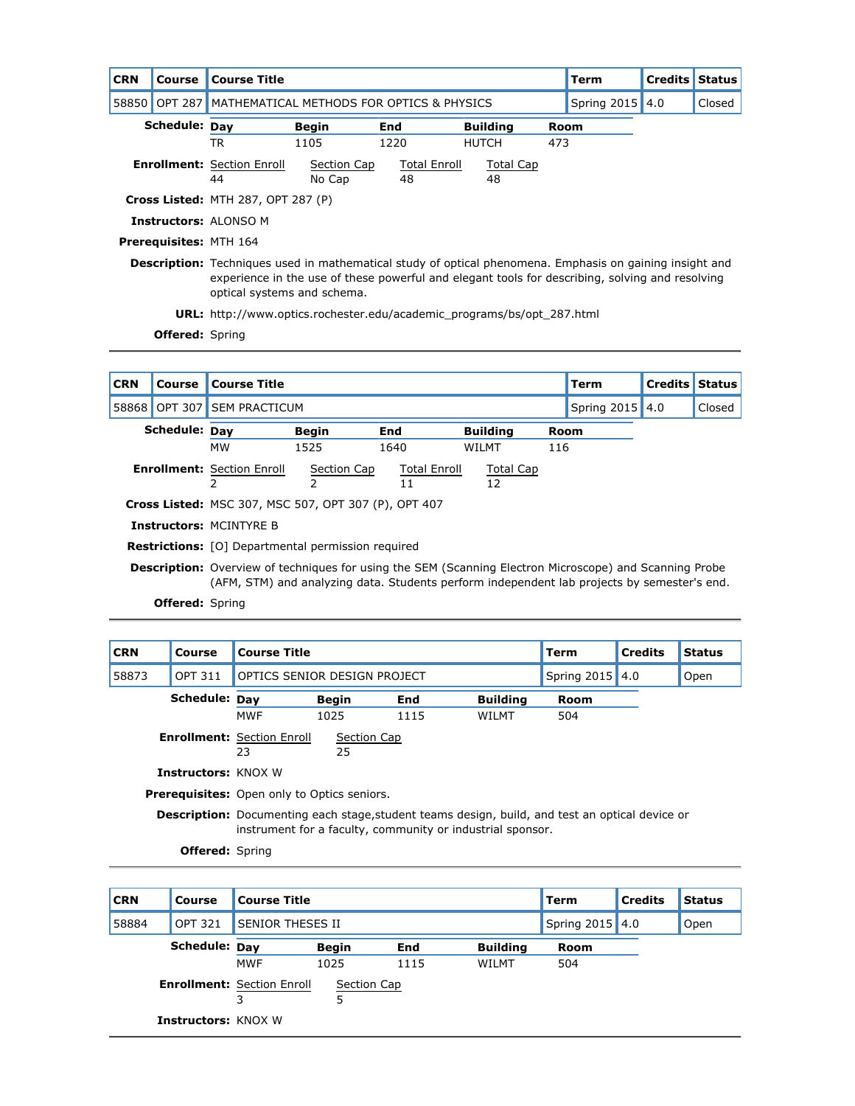| <b>CRN</b> | Course                        | <b>Course Title</b>                       |                                                                                                                                                                                                                                                   |      |                     |                 |      | <b>Term</b>     | <b>Credits Status</b> |        |
|------------|-------------------------------|-------------------------------------------|---------------------------------------------------------------------------------------------------------------------------------------------------------------------------------------------------------------------------------------------------|------|---------------------|-----------------|------|-----------------|-----------------------|--------|
| 58850      | <b>OPT 287</b>                | MATHEMATICAL METHODS FOR OPTICS & PHYSICS |                                                                                                                                                                                                                                                   |      |                     |                 |      | Spring 2015 4.0 |                       | Closed |
|            | Schedule: Day                 |                                           | Begin                                                                                                                                                                                                                                             | End  |                     | <b>Building</b> | Room |                 |                       |        |
|            |                               | <b>TR</b>                                 | 1105                                                                                                                                                                                                                                              | 1220 |                     | <b>HUTCH</b>    | 473  |                 |                       |        |
|            |                               | <b>Enrollment:</b> Section Enroll         | Section Cap                                                                                                                                                                                                                                       |      | <b>Total Enroll</b> | Total Cap       |      |                 |                       |        |
|            |                               | 44                                        | No Cap                                                                                                                                                                                                                                            | 48   |                     | 48              |      |                 |                       |        |
|            |                               |                                           | <b>Cross Listed: MTH 287, OPT 287 (P)</b>                                                                                                                                                                                                         |      |                     |                 |      |                 |                       |        |
|            |                               | <b>Instructors: ALONSO M</b>              |                                                                                                                                                                                                                                                   |      |                     |                 |      |                 |                       |        |
|            | <b>Prerequisites: MTH 164</b> |                                           |                                                                                                                                                                                                                                                   |      |                     |                 |      |                 |                       |        |
|            |                               |                                           | <b>Description:</b> Techniques used in mathematical study of optical phenomena. Emphasis on gaining insight and<br>experience in the use of these powerful and elegant tools for describing, solving and resolving<br>optical systems and schema. |      |                     |                 |      |                 |                       |        |
|            |                               |                                           | <b>URL:</b> http://www.optics.rochester.edu/academic programs/bs/opt 287.html                                                                                                                                                                     |      |                     |                 |      |                 |                       |        |
|            | <b>Offered:</b> Spring        |                                           |                                                                                                                                                                                                                                                   |      |                     |                 |      |                 |                       |        |

| <b>CRN</b> | Course        | <b>Course Title</b>                                                                                                                                                                                           |                                                           |                     |                 |     | Term            | Credits | <b>Status</b> |  |
|------------|---------------|---------------------------------------------------------------------------------------------------------------------------------------------------------------------------------------------------------------|-----------------------------------------------------------|---------------------|-----------------|-----|-----------------|---------|---------------|--|
|            |               | 58868 OPT 307 SEM PRACTICUM                                                                                                                                                                                   |                                                           |                     |                 |     | Spring 2015 4.0 |         | Closed        |  |
|            | Schedule: Dav |                                                                                                                                                                                                               | <b>Begin</b>                                              | End                 | <b>Building</b> |     | <b>Room</b>     |         |               |  |
|            |               | <b>MW</b>                                                                                                                                                                                                     | 1525                                                      | 1640                | WILMT           | 116 |                 |         |               |  |
|            |               | <b>Enrollment: Section Enroll</b>                                                                                                                                                                             | Section Cap                                               | <b>Total Enroll</b> | Total Cap       |     |                 |         |               |  |
|            |               |                                                                                                                                                                                                               | 2                                                         | 11                  | 12              |     |                 |         |               |  |
|            |               | <b>Cross Listed: MSC 307, MSC 507, OPT 307 (P), OPT 407</b>                                                                                                                                                   |                                                           |                     |                 |     |                 |         |               |  |
|            |               | <b>Instructors: MCINTYRE B</b>                                                                                                                                                                                |                                                           |                     |                 |     |                 |         |               |  |
|            |               |                                                                                                                                                                                                               | <b>Restrictions:</b> [O] Departmental permission required |                     |                 |     |                 |         |               |  |
|            |               | <b>Description:</b> Overview of techniques for using the SEM (Scanning Electron Microscope) and Scanning Probe<br>(AFM, STM) and analyzing data. Students perform independent lab projects by semester's end. |                                                           |                     |                 |     |                 |         |               |  |

| <b>CRN</b> | Course                                                                                                                                                               | <b>Course Title</b>                                |                   |            |                 | Term            | <b>Credits</b> | <b>Status</b> |
|------------|----------------------------------------------------------------------------------------------------------------------------------------------------------------------|----------------------------------------------------|-------------------|------------|-----------------|-----------------|----------------|---------------|
| 58873      | <b>OPT 311</b>                                                                                                                                                       | OPTICS SENIOR DESIGN PROJECT                       |                   |            |                 | Spring 2015 4.0 |                | Open          |
|            | Schedule: Dav                                                                                                                                                        |                                                    | <b>Begin</b>      | <b>End</b> | <b>Building</b> | <b>Room</b>     |                |               |
|            |                                                                                                                                                                      | <b>MWF</b>                                         | 1025              | 1115       | WILMT           | 504             |                |               |
|            |                                                                                                                                                                      | <b>Enrollment: Section Enroll</b><br>23            | Section Cap<br>25 |            |                 |                 |                |               |
|            | <b>Instructors: KNOX W</b>                                                                                                                                           |                                                    |                   |            |                 |                 |                |               |
|            |                                                                                                                                                                      | <b>Prerequisites:</b> Open only to Optics seniors. |                   |            |                 |                 |                |               |
|            | <b>Description:</b> Documenting each stage, student teams design, build, and test an optical device or<br>instrument for a faculty, community or industrial sponsor. |                                                    |                   |            |                 |                 |                |               |
|            | <b>Offered: Spring</b>                                                                                                                                               |                                                    |                   |            |                 |                 |                |               |

| <b>CRN</b> | Course                     | <b>Course Title</b>                    |                  |      |                 | Term            | <b>Credits</b> | <b>Status</b> |
|------------|----------------------------|----------------------------------------|------------------|------|-----------------|-----------------|----------------|---------------|
| 58884      | <b>OPT 321</b>             | <b>SENIOR THESES II</b>                |                  |      |                 | Spring 2015 4.0 |                | Open          |
|            | Schedule: Day              |                                        | <b>Begin</b>     | End  | <b>Building</b> | Room            |                |               |
|            |                            | <b>MWF</b>                             | 1025             | 1115 | WILMT           | 504             |                |               |
|            |                            | <b>Enrollment: Section Enroll</b><br>3 | Section Cap<br>5 |      |                 |                 |                |               |
|            | <b>Instructors: KNOX W</b> |                                        |                  |      |                 |                 |                |               |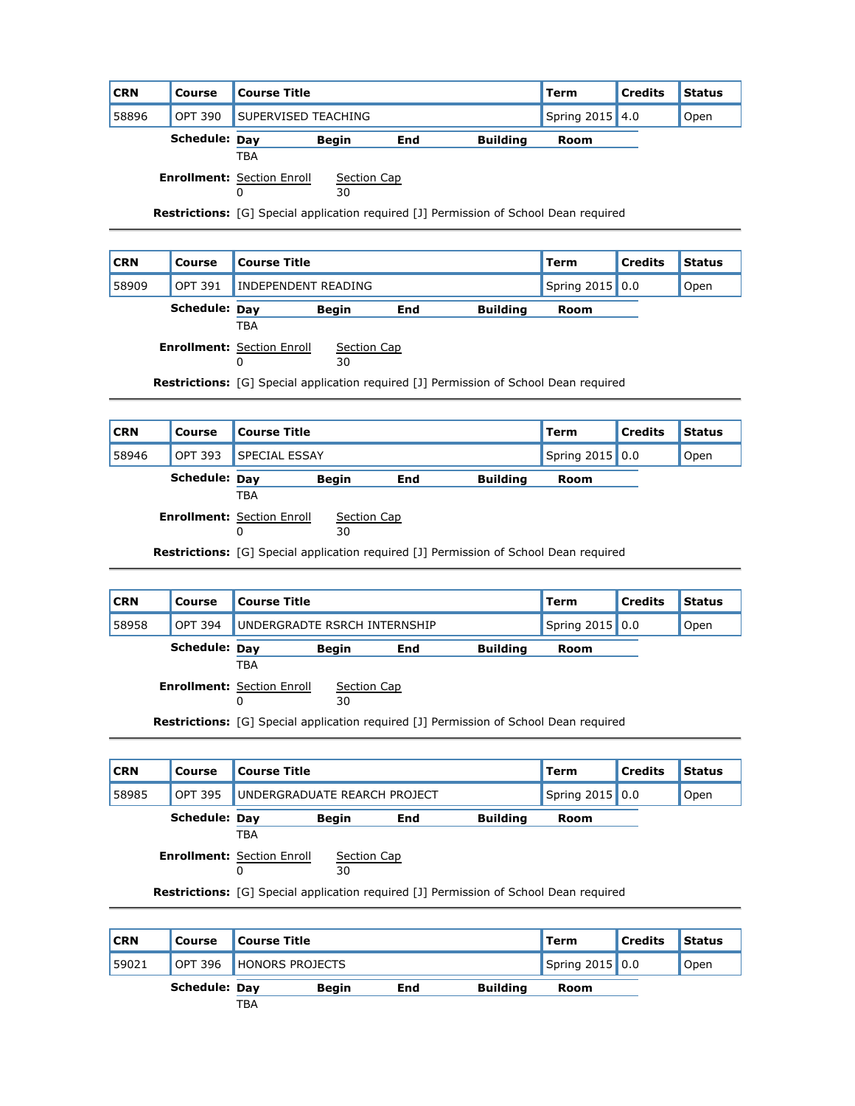| <b>CRN</b> | Course               | <b>Course Title</b>                                                                          |                   |     |                 | Term | <b>Credits</b> | <b>Status</b> |
|------------|----------------------|----------------------------------------------------------------------------------------------|-------------------|-----|-----------------|------|----------------|---------------|
| 58896      | OPT 390              | <b>SUPERVISED TEACHING</b>                                                                   |                   |     | Spring 2015 4.0 |      | Open           |               |
|            | <b>Schedule: Day</b> |                                                                                              | <b>Begin</b>      | End | <b>Building</b> | Room |                |               |
|            |                      | TBA                                                                                          |                   |     |                 |      |                |               |
|            |                      | <b>Enrollment: Section Enroll</b><br>0                                                       | Section Cap<br>30 |     |                 |      |                |               |
|            |                      | <b>Restrictions:</b> [G] Special application required [J] Permission of School Dean required |                   |     |                 |      |                |               |

| <b>CRN</b> | Course                                                                                       | <b>Course Title</b>                    |                   |     |                 | Term            | <b>Credits</b> | <b>Status</b> |
|------------|----------------------------------------------------------------------------------------------|----------------------------------------|-------------------|-----|-----------------|-----------------|----------------|---------------|
| 58909      | <b>OPT 391</b>                                                                               | INDEPENDENT READING                    |                   |     |                 | Spring 2015 0.0 |                | Open          |
|            | Schedule: Day                                                                                | TBA                                    | <b>Begin</b>      | End | <b>Building</b> | Room            |                |               |
|            |                                                                                              | <b>Enrollment: Section Enroll</b><br>0 | Section Cap<br>30 |     |                 |                 |                |               |
|            | <b>Restrictions:</b> [G] Special application required [J] Permission of School Dean required |                                        |                   |     |                 |                 |                |               |

| <b>CRN</b> | <b>Course</b>        | Course Title         |              |     |                 | Term | <b>Credits</b> | <b>Status</b> |
|------------|----------------------|----------------------|--------------|-----|-----------------|------|----------------|---------------|
| 58946      | <b>OPT 393</b>       | <b>SPECIAL ESSAY</b> |              |     | Spring 2015 0.0 |      | Open           |               |
|            | <b>Schedule: Dav</b> |                      | <b>Beain</b> | End | <b>Building</b> | Room |                |               |
|            |                      | ᅚᇛᅀ                  |              |     |                 |      |                |               |

**Schedule: <u>Day</u>**<br>TBA

**Enrollment:** Section Enroll Section Cap

0

0

30

**Restrictions:** [G] Special application required [J] Permission of School Dean required

| <b>CRN</b> | <b>Course</b>        | <b>Course Title</b>               |             | <b>Term</b> | <b>Credits</b>  | <b>Status</b> |      |  |
|------------|----------------------|-----------------------------------|-------------|-------------|-----------------|---------------|------|--|
| 58958      | <b>OPT 394</b>       | UNDERGRADTE RSRCH INTERNSHIP      |             |             | Spring 2015 0.0 |               | Open |  |
|            | <b>Schedule: Dav</b> | <b>Begin</b><br>End<br>TBA        |             |             | <b>Building</b> | Room          |      |  |
|            |                      | <b>Enrollment: Section Enroll</b> | Section Cap |             |                 |               |      |  |

30

**Restrictions:** [G] Special application required [J] Permission of School Dean required

| <b>CRN</b> | <b>Course Title</b><br><b>Course</b> |                                        |                   |     |                                                                                              | <b>Term</b>     | <b>Credits</b> | <b>Status</b> |
|------------|--------------------------------------|----------------------------------------|-------------------|-----|----------------------------------------------------------------------------------------------|-----------------|----------------|---------------|
| 58985      | <b>OPT 395</b>                       | UNDERGRADUATE REARCH PROJECT           |                   |     |                                                                                              | Spring 2015 0.0 |                | Open          |
|            | Schedule: Dav                        |                                        | <b>Begin</b>      | End | <b>Building</b>                                                                              | Room            |                |               |
|            |                                      | <b>TBA</b>                             |                   |     |                                                                                              |                 |                |               |
|            |                                      | <b>Enrollment: Section Enroll</b><br>0 | Section Cap<br>30 |     |                                                                                              |                 |                |               |
|            |                                      |                                        |                   |     | <b>Restrictions:</b> [G] Special application required [J] Permission of School Dean required |                 |                |               |
|            |                                      |                                        |                   |     |                                                                                              |                 |                |               |

| <b>CRN</b> | Course        | <b>Course Title</b>     |              |     |                 | Term            | <b>Credits</b> | <b>Status</b> |
|------------|---------------|-------------------------|--------------|-----|-----------------|-----------------|----------------|---------------|
| 59021      |               | OPT 396 HONORS PROJECTS |              |     |                 | Spring 2015 0.0 |                | Open          |
|            | Schedule: Dav |                         | <b>Begin</b> | End | <b>Building</b> | Room            |                |               |
|            |               | <b>TBA</b>              |              |     |                 |                 |                |               |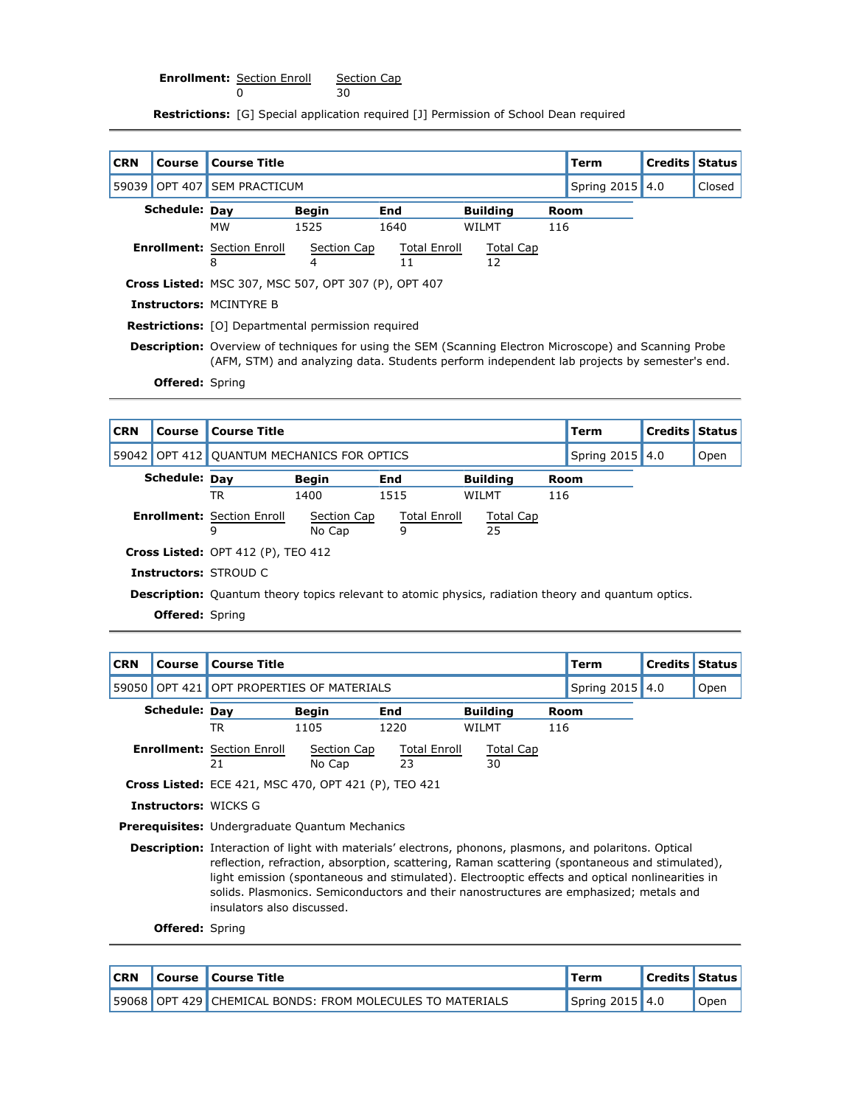**Enrollment:** Section Enroll 0 Section Cap

30

**Restrictions:** [G] Special application required [J] Permission of School Dean required

| <b>CRN</b> | Course                 | <b>Course Title</b>                                       |                                                                                                                                                                                                               |                     |                 |     | <b>Term</b>     | <b>Credits Status</b> |        |  |  |
|------------|------------------------|-----------------------------------------------------------|---------------------------------------------------------------------------------------------------------------------------------------------------------------------------------------------------------------|---------------------|-----------------|-----|-----------------|-----------------------|--------|--|--|
| 59039      | <b>OPT 407</b>         | <b>SEM PRACTICUM</b>                                      |                                                                                                                                                                                                               |                     |                 |     | Spring 2015 4.0 |                       | Closed |  |  |
|            | Schedule: Day          |                                                           | <b>Begin</b>                                                                                                                                                                                                  | <b>End</b>          | <b>Building</b> |     | Room            |                       |        |  |  |
|            |                        | <b>MW</b>                                                 | 1525                                                                                                                                                                                                          | 1640                | WILMT           | 116 |                 |                       |        |  |  |
|            |                        | <b>Enrollment:</b> Section Enroll                         | Section Cap                                                                                                                                                                                                   | <b>Total Enroll</b> | Total Cap       |     |                 |                       |        |  |  |
|            |                        | 8                                                         | 4                                                                                                                                                                                                             | 11                  | 12              |     |                 |                       |        |  |  |
|            |                        | Cross Listed: MSC 307, MSC 507, OPT 307 (P), OPT 407      |                                                                                                                                                                                                               |                     |                 |     |                 |                       |        |  |  |
|            |                        | <b>Instructors: MCINTYRE B</b>                            |                                                                                                                                                                                                               |                     |                 |     |                 |                       |        |  |  |
|            |                        | <b>Restrictions:</b> [O] Departmental permission required |                                                                                                                                                                                                               |                     |                 |     |                 |                       |        |  |  |
|            |                        |                                                           | <b>Description:</b> Overview of techniques for using the SEM (Scanning Electron Microscope) and Scanning Probe<br>(AFM, STM) and analyzing data. Students perform independent lab projects by semester's end. |                     |                 |     |                 |                       |        |  |  |
|            | <b>Offered:</b> Spring |                                                           |                                                                                                                                                                                                               |                     |                 |     |                 |                       |        |  |  |

| <b>CRN</b> | Course                 | <b>Course Title</b>                  |                                                                                                            |                     |           |      | Term            | <b>Credits Status</b> |      |  |  |  |
|------------|------------------------|--------------------------------------|------------------------------------------------------------------------------------------------------------|---------------------|-----------|------|-----------------|-----------------------|------|--|--|--|
| 59042      |                        | OPT 412 OUANTUM MECHANICS FOR OPTICS |                                                                                                            |                     |           |      | Spring 2015 4.0 |                       | Open |  |  |  |
|            | Schedule: Day          |                                      | <b>Begin</b>                                                                                               | <b>Building</b>     |           | Room |                 |                       |      |  |  |  |
|            |                        | TR                                   | 1400                                                                                                       | 116                 |           |      |                 |                       |      |  |  |  |
|            |                        | <b>Enrollment: Section Enroll</b>    | Section Cap                                                                                                | <b>Total Enroll</b> | Total Cap |      |                 |                       |      |  |  |  |
|            |                        | 9                                    | No Cap                                                                                                     | 9                   | 25        |      |                 |                       |      |  |  |  |
|            |                        | Cross Listed: OPT 412 (P), TEO 412   |                                                                                                            |                     |           |      |                 |                       |      |  |  |  |
|            |                        | <b>Instructors: STROUD C</b>         |                                                                                                            |                     |           |      |                 |                       |      |  |  |  |
|            |                        |                                      | <b>Description:</b> Quantum theory topics relevant to atomic physics, radiation theory and quantum optics. |                     |           |      |                 |                       |      |  |  |  |
|            | <b>Offered:</b> Spring |                                      |                                                                                                            |                     |           |      |                 |                       |      |  |  |  |

| <b>CRN</b> | Course                      | <b>Course Title</b>                                   |                                                             |                                                                                                                                                                                                                                                                                                                                                                                                        |                 |     | <b>Term</b>     | <b>Credits</b> | <b>Status</b> |  |  |
|------------|-----------------------------|-------------------------------------------------------|-------------------------------------------------------------|--------------------------------------------------------------------------------------------------------------------------------------------------------------------------------------------------------------------------------------------------------------------------------------------------------------------------------------------------------------------------------------------------------|-----------------|-----|-----------------|----------------|---------------|--|--|
|            |                             | 59050 OPT 421 OPT PROPERTIES OF MATERIALS             |                                                             |                                                                                                                                                                                                                                                                                                                                                                                                        |                 |     | Spring 2015 4.0 |                | Open          |  |  |
|            | Schedule: Day               |                                                       | <b>Begin</b>                                                | End                                                                                                                                                                                                                                                                                                                                                                                                    | <b>Building</b> |     | Room            |                |               |  |  |
|            |                             | TR                                                    | 1105                                                        | 1220                                                                                                                                                                                                                                                                                                                                                                                                   | <b>WILMT</b>    | 116 |                 |                |               |  |  |
|            |                             | <b>Enrollment: Section Enroll</b><br>21               |                                                             |                                                                                                                                                                                                                                                                                                                                                                                                        |                 |     |                 |                |               |  |  |
|            |                             |                                                       | <b>Cross Listed:</b> ECE 421, MSC 470, OPT 421 (P), TEO 421 |                                                                                                                                                                                                                                                                                                                                                                                                        |                 |     |                 |                |               |  |  |
|            | <b>Instructors:</b> WICKS G |                                                       |                                                             |                                                                                                                                                                                                                                                                                                                                                                                                        |                 |     |                 |                |               |  |  |
|            |                             | <b>Prerequisites:</b> Undergraduate Quantum Mechanics |                                                             |                                                                                                                                                                                                                                                                                                                                                                                                        |                 |     |                 |                |               |  |  |
|            |                             | insulators also discussed.                            |                                                             | Description: Interaction of light with materials' electrons, phonons, plasmons, and polaritons. Optical<br>reflection, refraction, absorption, scattering, Raman scattering (spontaneous and stimulated),<br>light emission (spontaneous and stimulated). Electrooptic effects and optical nonlinearities in<br>solids. Plasmonics. Semiconductors and their nanostructures are emphasized; metals and |                 |     |                 |                |               |  |  |
|            | <b>Offered:</b> Spring      |                                                       |                                                             |                                                                                                                                                                                                                                                                                                                                                                                                        |                 |     |                 |                |               |  |  |

**CRN Course Course Title Term Credits Status** 59068 OPT 429 CHEMICAL BONDS: FROM MOLECULES TO MATERIALS Spring 2015 4.0 Copen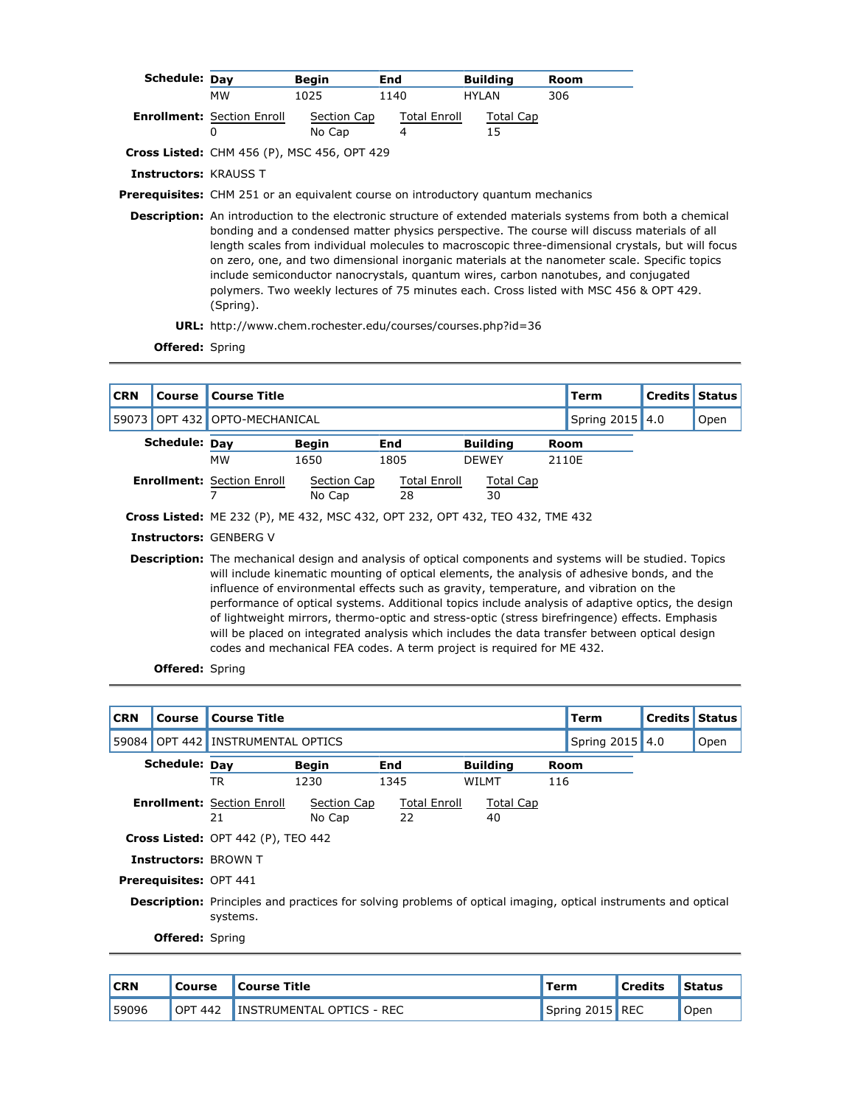| Schedule: Day                |                                        | <b>Begin</b>                                                                            | End                      | <b>Building</b> | Room                                                                                                                                                                                                                                                                                                                                                                                                                                                                                                            |
|------------------------------|----------------------------------------|-----------------------------------------------------------------------------------------|--------------------------|-----------------|-----------------------------------------------------------------------------------------------------------------------------------------------------------------------------------------------------------------------------------------------------------------------------------------------------------------------------------------------------------------------------------------------------------------------------------------------------------------------------------------------------------------|
|                              | мw                                     | 1025                                                                                    | 1140                     | <b>HYLAN</b>    | 306                                                                                                                                                                                                                                                                                                                                                                                                                                                                                                             |
|                              | <b>Enrollment: Section Enroll</b><br>0 | Section Cap<br>No Cap                                                                   | <b>Total Enroll</b><br>4 | Total Cap<br>15 |                                                                                                                                                                                                                                                                                                                                                                                                                                                                                                                 |
|                              |                                        | <b>Cross Listed:</b> CHM 456 (P), MSC 456, OPT 429                                      |                          |                 |                                                                                                                                                                                                                                                                                                                                                                                                                                                                                                                 |
| <b>Instructors: KRAUSS T</b> |                                        |                                                                                         |                          |                 |                                                                                                                                                                                                                                                                                                                                                                                                                                                                                                                 |
|                              |                                        | <b>Prerequisites:</b> CHM 251 or an equivalent course on introductory quantum mechanics |                          |                 |                                                                                                                                                                                                                                                                                                                                                                                                                                                                                                                 |
|                              |                                        |                                                                                         |                          |                 | <b>Description:</b> An introduction to the electronic structure of extended materials systems from both a chemical<br>bonding and a condensed matter physics perspective. The course will discuss materials of all<br>length scales from individual molecules to macroscopic three-dimensional crystals, but will focus<br>on zero, one, and two dimensional inorganic materials at the nanometer scale. Specific topics<br>include semiconductor nanocrystals, quantum wires, carbon nanotubes, and conjugated |

**URL:** http://www.chem.rochester.edu/courses/courses.php?id=36

**Offered:** Spring

| <b>CRN</b> | Course               | <b>Course Title</b>                                                           |                                                                                                                                                                                                                                                                                                                                                                                                                                                                                                                  |                           |                 |  | Term        | <b>Credits Status</b> |      |  |  |  |
|------------|----------------------|-------------------------------------------------------------------------------|------------------------------------------------------------------------------------------------------------------------------------------------------------------------------------------------------------------------------------------------------------------------------------------------------------------------------------------------------------------------------------------------------------------------------------------------------------------------------------------------------------------|---------------------------|-----------------|--|-------------|-----------------------|------|--|--|--|
| 59073      | <b>OPT 432</b>       | OPTO-MECHANICAL                                                               |                                                                                                                                                                                                                                                                                                                                                                                                                                                                                                                  |                           |                 |  | Spring 2015 | 4.0                   | Open |  |  |  |
|            | <b>Schedule: Day</b> |                                                                               | <b>Begin</b>                                                                                                                                                                                                                                                                                                                                                                                                                                                                                                     | End                       | <b>Building</b> |  | Room        |                       |      |  |  |  |
|            |                      | <b>MW</b>                                                                     | 1650                                                                                                                                                                                                                                                                                                                                                                                                                                                                                                             | 1805                      | <b>DEWEY</b>    |  | 2110E       |                       |      |  |  |  |
|            |                      | <b>Enrollment: Section Enroll</b>                                             | Section Cap<br>No Cap                                                                                                                                                                                                                                                                                                                                                                                                                                                                                            | <b>Total Enroll</b><br>28 | Total Cap<br>30 |  |             |                       |      |  |  |  |
|            |                      | Cross Listed: ME 232 (P), ME 432, MSC 432, OPT 232, OPT 432, TEO 432, TME 432 |                                                                                                                                                                                                                                                                                                                                                                                                                                                                                                                  |                           |                 |  |             |                       |      |  |  |  |
|            |                      | <b>Instructors: GENBERG V</b>                                                 |                                                                                                                                                                                                                                                                                                                                                                                                                                                                                                                  |                           |                 |  |             |                       |      |  |  |  |
|            |                      |                                                                               | <b>Description:</b> The mechanical design and analysis of optical components and systems will be studied. Topics<br>will include kinematic mounting of optical elements, the analysis of adhesive bonds, and the<br>influence of environmental effects such as gravity, temperature, and vibration on the<br>performance of optical systems. Additional topics include analysis of adaptive optics, the design<br>of lightweight mirrors, thermo-optic and stress-optic (stress birefringence) effects. Emphasis |                           |                 |  |             |                       |      |  |  |  |

will be placed on integrated analysis which includes the data transfer between optical design codes and mechanical FEA codes. A term project is required for ME 432.

| <b>CRN</b> | Course                        | <b>Course Title</b>                                                                                                               |                       |                    |                        |     | <b>Term</b>     | <b>Credits Status</b> |      |
|------------|-------------------------------|-----------------------------------------------------------------------------------------------------------------------------------|-----------------------|--------------------|------------------------|-----|-----------------|-----------------------|------|
| 59084      |                               | OPT 442 INSTRUMENTAL OPTICS                                                                                                       |                       |                    |                        |     | Spring 2015 4.0 |                       | Open |
|            | Schedule: Day                 |                                                                                                                                   | <b>Begin</b>          | End                | <b>Building</b>        |     | <b>Room</b>     |                       |      |
|            |                               | <b>TR</b>                                                                                                                         | 1230                  | 1345               | WILMT                  | 116 |                 |                       |      |
|            |                               | <b>Enrollment: Section Enroll</b><br>21                                                                                           | Section Cap<br>No Cap | Total Enroll<br>22 | <b>Total Cap</b><br>40 |     |                 |                       |      |
|            |                               | Cross Listed: OPT 442 (P), TEO 442                                                                                                |                       |                    |                        |     |                 |                       |      |
|            |                               | <b>Instructors: BROWN T</b>                                                                                                       |                       |                    |                        |     |                 |                       |      |
|            | <b>Prerequisites: OPT 441</b> |                                                                                                                                   |                       |                    |                        |     |                 |                       |      |
|            |                               | <b>Description:</b> Principles and practices for solving problems of optical imaging, optical instruments and optical<br>systems. |                       |                    |                        |     |                 |                       |      |
|            | <b>Offered: Spring</b>        |                                                                                                                                   |                       |                    |                        |     |                 |                       |      |

| <b>CRN</b> | l Course       | Course Title              | Term            | <b>Credits</b> | <b>Status</b> |
|------------|----------------|---------------------------|-----------------|----------------|---------------|
| 59096      | <b>OPT 442</b> | INSTRUMENTAL OPTICS - REC | Spring 2015 REC |                | Open          |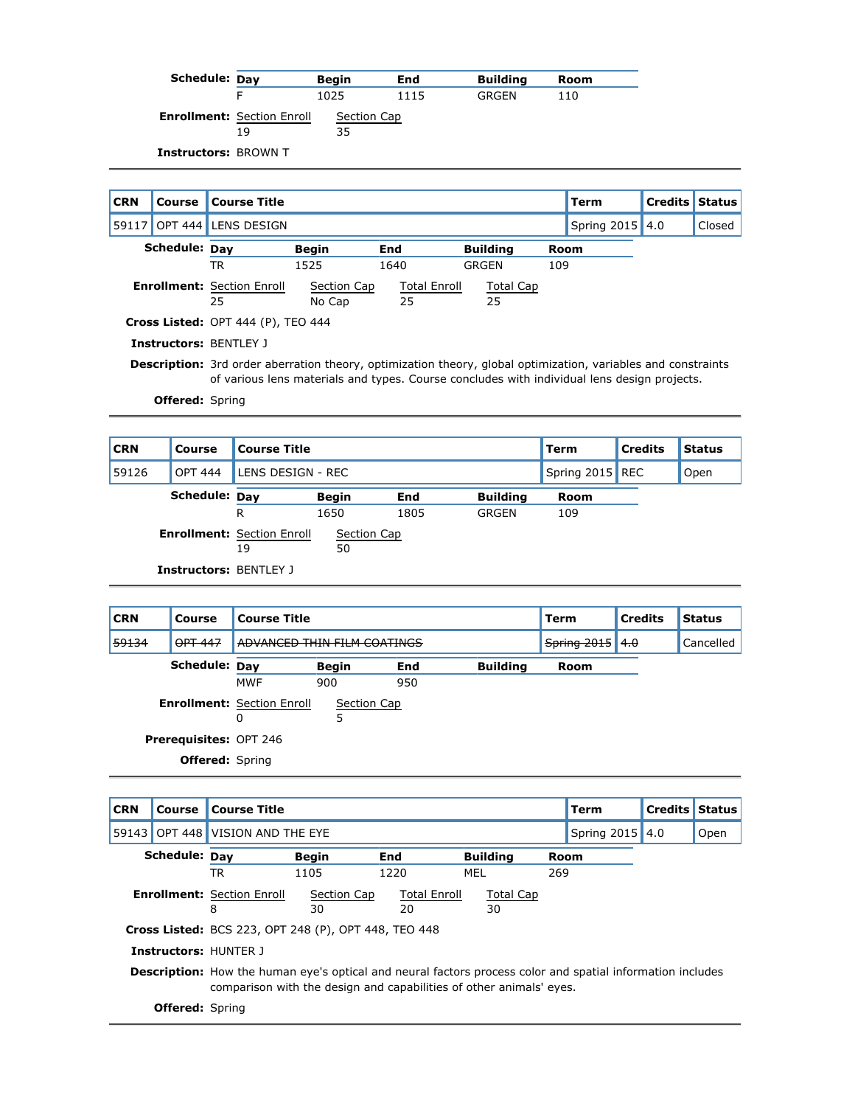| Schedule: Day               |                                         | <b>Begin</b>      | End  | <b>Building</b> | Room |
|-----------------------------|-----------------------------------------|-------------------|------|-----------------|------|
|                             |                                         | 1025              | 1115 | GRGEN           | 110  |
|                             | <b>Enrollment: Section Enroll</b><br>19 | Section Cap<br>35 |      |                 |      |
| <b>Instructors: BROWN T</b> |                                         |                   |      |                 |      |

| <b>CRN</b> | <b>Course</b>          | <b>Course Title</b>                     |                                                                                                                                                                                                                     |                           |                 |      | <b>Term</b> | <b>Credits</b> | <b>Status</b> |  |
|------------|------------------------|-----------------------------------------|---------------------------------------------------------------------------------------------------------------------------------------------------------------------------------------------------------------------|---------------------------|-----------------|------|-------------|----------------|---------------|--|
|            |                        | 59117 OPT 444 LENS DESIGN               |                                                                                                                                                                                                                     |                           |                 |      | Spring 2015 | 4.0            | Closed        |  |
|            | Schedule: Day          |                                         | <b>Begin</b>                                                                                                                                                                                                        | End                       | <b>Building</b> | Room |             |                |               |  |
|            |                        | TR                                      | 1525                                                                                                                                                                                                                | 1640                      | GRGEN           | 109  |             |                |               |  |
|            |                        | <b>Enrollment:</b> Section Enroll<br>25 | Section Cap<br>No Cap                                                                                                                                                                                               | <b>Total Enroll</b><br>25 | Total Cap<br>25 |      |             |                |               |  |
|            |                        | Cross Listed: OPT 444 (P), TEO 444      |                                                                                                                                                                                                                     |                           |                 |      |             |                |               |  |
|            |                        | <b>Instructors: BENTLEY J</b>           |                                                                                                                                                                                                                     |                           |                 |      |             |                |               |  |
|            |                        |                                         | <b>Description:</b> 3rd order aberration theory, optimization theory, global optimization, variables and constraints<br>of various lens materials and types. Course concludes with individual lens design projects. |                           |                 |      |             |                |               |  |
|            | <b>Offered:</b> Spring |                                         |                                                                                                                                                                                                                     |                           |                 |      |             |                |               |  |

| <b>CRN</b> | Course                        | <b>Course Title</b>                     |                   |      |                 | Term            | <b>Credits</b> | <b>Status</b> |
|------------|-------------------------------|-----------------------------------------|-------------------|------|-----------------|-----------------|----------------|---------------|
| 59126      | <b>OPT 444</b>                | LENS DESIGN - REC                       |                   |      |                 | Spring 2015 REC |                | Open          |
|            | <b>Schedule: Dav</b>          |                                         | <b>Begin</b>      | End  | <b>Building</b> | Room            |                |               |
|            |                               | R                                       | 1650              | 1805 | <b>GRGEN</b>    | 109             |                |               |
|            |                               | <b>Enrollment: Section Enroll</b><br>19 | Section Cap<br>50 |      |                 |                 |                |               |
|            | <b>Instructors: BENTLEY J</b> |                                         |                   |      |                 |                 |                |               |

| <b>CRN</b> | Course                        | <b>Course Title</b>               |              |     |                 | <b>Term</b> | <b>Credits</b> | <b>Status</b> |
|------------|-------------------------------|-----------------------------------|--------------|-----|-----------------|-------------|----------------|---------------|
| 59134      | OPT 447                       | ADVANCED THIN FILM COATINGS       |              |     |                 | Spring 2015 | 4.0            | Cancelled     |
|            | Schedule: Day                 |                                   | <b>Begin</b> | End | <b>Building</b> | <b>Room</b> |                |               |
|            |                               | <b>MWF</b>                        | 900          | 950 |                 |             |                |               |
|            |                               | <b>Enrollment: Section Enroll</b> | Section Cap  |     |                 |             |                |               |
|            |                               | 0                                 | 5            |     |                 |             |                |               |
|            | <b>Prerequisites: OPT 246</b> |                                   |              |     |                 |             |                |               |
|            | <b>Offered:</b> Spring        |                                   |              |     |                 |             |                |               |

| <b>CRN</b> | Course                 | <b>Course Title</b>                                         |                                                                                                                   |                     |                 |     | Term            | <b>Credits Status</b> |      |
|------------|------------------------|-------------------------------------------------------------|-------------------------------------------------------------------------------------------------------------------|---------------------|-----------------|-----|-----------------|-----------------------|------|
|            |                        | 59143 OPT 448 VISION AND THE EYE                            |                                                                                                                   |                     |                 |     | Spring 2015 4.0 |                       | Open |
|            | Schedule: Dav          |                                                             | <b>Begin</b>                                                                                                      | End                 | <b>Building</b> |     | Room            |                       |      |
|            |                        | TR                                                          | 1105                                                                                                              | 1220                | MEL             | 269 |                 |                       |      |
|            |                        | <b>Enrollment: Section Enroll</b>                           | Section Cap                                                                                                       | <b>Total Enroll</b> | Total Cap       |     |                 |                       |      |
|            |                        | 8                                                           | 30                                                                                                                | 20                  | 30              |     |                 |                       |      |
|            |                        | <b>Cross Listed:</b> BCS 223, OPT 248 (P), OPT 448, TEO 448 |                                                                                                                   |                     |                 |     |                 |                       |      |
|            |                        | <b>Instructors: HUNTER 1</b>                                |                                                                                                                   |                     |                 |     |                 |                       |      |
|            |                        |                                                             | <b>Description:</b> How the human eye's optical and neural factors process color and spatial information includes |                     |                 |     |                 |                       |      |
|            |                        |                                                             | comparison with the design and capabilities of other animals' eyes.                                               |                     |                 |     |                 |                       |      |
|            | <b>Offered:</b> Spring |                                                             |                                                                                                                   |                     |                 |     |                 |                       |      |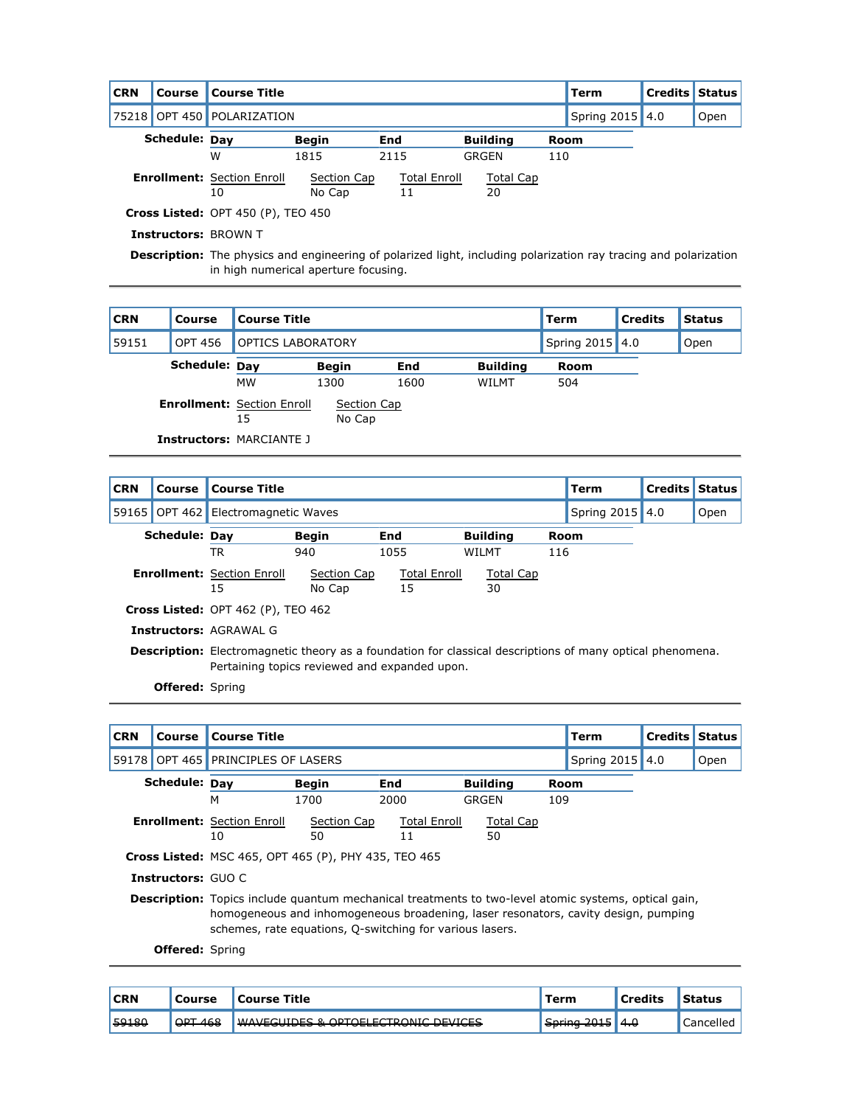| <b>CRN</b>           | Course | <b>Course Title</b>               |                        |                     |                  |      | Term | <b>Credits Status</b> |  |
|----------------------|--------|-----------------------------------|------------------------|---------------------|------------------|------|------|-----------------------|--|
|                      |        | 75218 OPT 450 POLARIZATION        |                        | Spring 2015 4.0     |                  | Open |      |                       |  |
| <b>Schedule: Dav</b> |        | <b>Begin</b>                      | <b>Building</b><br>End |                     | Room             |      |      |                       |  |
|                      | W      |                                   | 1815                   | 2115                | GRGEN            | 110  |      |                       |  |
|                      |        | <b>Enrollment: Section Enroll</b> | Section Cap            | <b>Total Enroll</b> | <b>Total Cap</b> |      |      |                       |  |
|                      |        | 10                                | No Cap                 |                     | 20               |      |      |                       |  |

**Cross Listed:** OPT 450 (P), TEO 450

**Instructors:** BROWN T

**Description:** The physics and engineering of polarized light, including polarization ray tracing and polarization in high numerical aperture focusing.

| <b>CRN</b> | Course         | <b>Course Title</b>                     |                          |      |                 | Term            | <b>Credits</b> | <b>Status</b> |
|------------|----------------|-----------------------------------------|--------------------------|------|-----------------|-----------------|----------------|---------------|
| 59151      | <b>OPT 456</b> |                                         | <b>OPTICS LABORATORY</b> |      |                 | Spring 2015 4.0 |                | Open          |
|            | Schedule: Day  |                                         | <b>Begin</b>             | End  | <b>Building</b> | Room            |                |               |
|            |                | <b>MW</b>                               | 1300                     | 1600 | WILMT           | 504             |                |               |
|            |                | <b>Enrollment: Section Enroll</b><br>15 | Section Cap<br>No Cap    |      |                 |                 |                |               |
|            |                | <b>Instructors: MARCIANTE J</b>         |                          |      |                 |                 |                |               |

| <b>CRN</b> | Course                 | <b>Course Title</b>                       |                                                                                                                                                                   |                           |                 |     | Term            | <b>Credits Status</b> |      |  |
|------------|------------------------|-------------------------------------------|-------------------------------------------------------------------------------------------------------------------------------------------------------------------|---------------------------|-----------------|-----|-----------------|-----------------------|------|--|
| 59165      | <b>OPT 462</b>         | Electromagnetic Waves                     |                                                                                                                                                                   |                           |                 |     | Spring 2015 4.0 |                       | Open |  |
|            | Schedule: Day          |                                           | <b>Begin</b>                                                                                                                                                      | End                       | <b>Building</b> |     | <b>Room</b>     |                       |      |  |
|            |                        | TR                                        | 940                                                                                                                                                               | 1055                      | WILMT           | 116 |                 |                       |      |  |
|            |                        | <b>Enrollment: Section Enroll</b><br>15   | Section Cap<br>No Cap                                                                                                                                             | <b>Total Enroll</b><br>15 | Total Cap<br>30 |     |                 |                       |      |  |
|            |                        | <b>Cross Listed: OPT 462 (P), TEO 462</b> |                                                                                                                                                                   |                           |                 |     |                 |                       |      |  |
|            |                        | <b>Instructors: AGRAWAL G</b>             |                                                                                                                                                                   |                           |                 |     |                 |                       |      |  |
|            |                        |                                           | <b>Description:</b> Electromagnetic theory as a foundation for classical descriptions of many optical phenomena.<br>Pertaining topics reviewed and expanded upon. |                           |                 |     |                 |                       |      |  |
|            | <b>Offered:</b> Spring |                                           |                                                                                                                                                                   |                           |                 |     |                 |                       |      |  |

| <b>CRN</b> | Course                      | <b>Course Title</b>                                         |                                                                                                                                                                                                   |                           |                        |      | <b>Term</b>     | <b>Credits</b> | <b>Status</b> |  |  |
|------------|-----------------------------|-------------------------------------------------------------|---------------------------------------------------------------------------------------------------------------------------------------------------------------------------------------------------|---------------------------|------------------------|------|-----------------|----------------|---------------|--|--|
| 59178      |                             | OPT 465 PRINCIPLES OF LASERS                                |                                                                                                                                                                                                   |                           |                        |      | Spring 2015 4.0 |                | Open          |  |  |
|            | Schedule: Day               |                                                             | <b>Begin</b>                                                                                                                                                                                      | End                       | <b>Building</b>        | Room |                 |                |               |  |  |
|            |                             | М                                                           | 1700                                                                                                                                                                                              | 2000                      | GRGEN                  | 109  |                 |                |               |  |  |
|            |                             | <b>Enrollment: Section Enroll</b><br>10                     | Section Cap<br>50                                                                                                                                                                                 | <b>Total Enroll</b><br>11 | <b>Total Cap</b><br>50 |      |                 |                |               |  |  |
|            |                             | <b>Cross Listed: MSC 465, OPT 465 (P), PHY 435, TEO 465</b> |                                                                                                                                                                                                   |                           |                        |      |                 |                |               |  |  |
|            | <b>Instructors: GUO C</b>   |                                                             |                                                                                                                                                                                                   |                           |                        |      |                 |                |               |  |  |
|            |                             |                                                             | <b>Description:</b> Topics include quantum mechanical treatments to two-level atomic systems, optical gain,<br>homogeneous and inhomogeneous broadening, laser resonators, cavity design, pumping |                           |                        |      |                 |                |               |  |  |
|            | $\sim$ $\sim$ $\sim$ $\sim$ | schemes, rate equations, Q-switching for various lasers.    |                                                                                                                                                                                                   |                           |                        |      |                 |                |               |  |  |

| <b>CRN</b> | Course               | <b>Course Title</b>                                                                       | Term                                            | l Credits | Status    |
|------------|----------------------|-------------------------------------------------------------------------------------------|-------------------------------------------------|-----------|-----------|
| 59180      | <b>ODT 168</b><br>᠇ᡂ | WAVECHINES & OPTOFLECTRONIC DEVICES<br><del>mweedised &amp; or rocker konig beviged</del> | String 2015<br>$\sigma$ , and $\sigma$ $\sigma$ | 4.0       | Cancelled |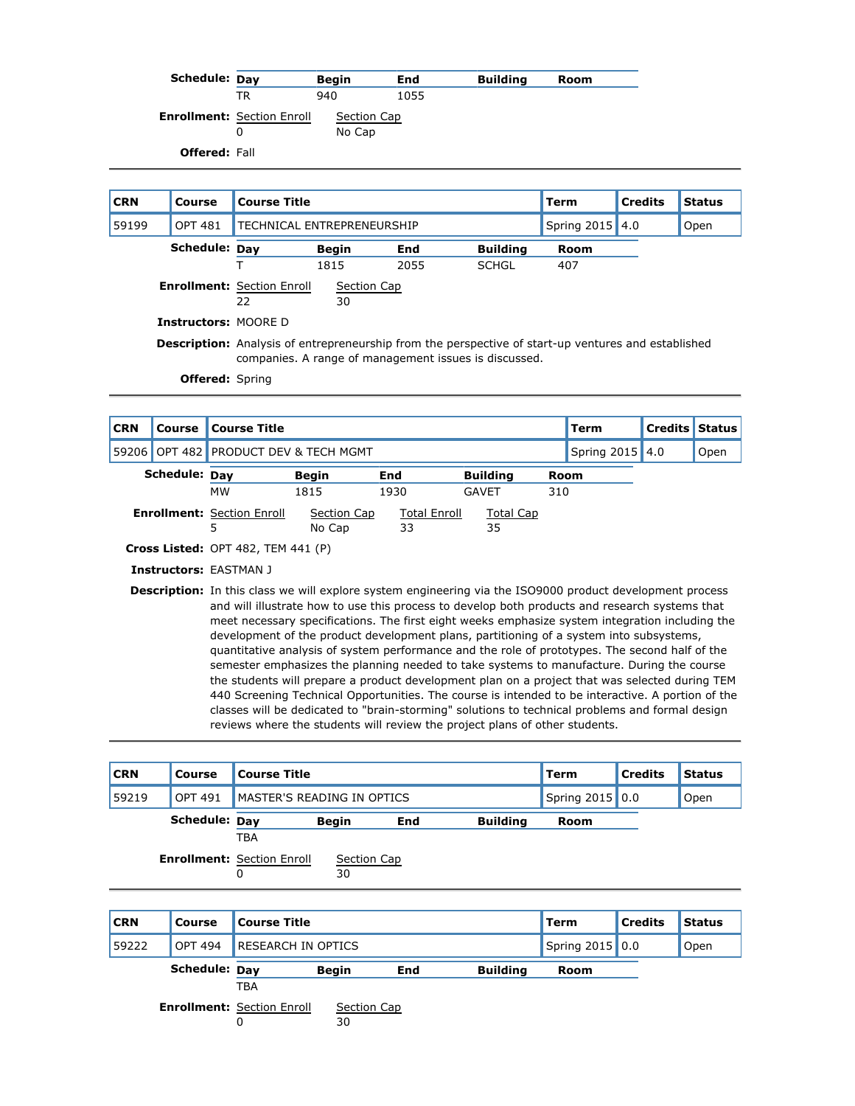| Schedule: Day        |                                   | <b>Begin</b> | End  | <b>Building</b> | Room |
|----------------------|-----------------------------------|--------------|------|-----------------|------|
|                      | TR                                | 940          | 1055 |                 |      |
|                      | <b>Enrollment: Section Enroll</b> | Section Cap  |      |                 |      |
|                      |                                   | No Cap       |      |                 |      |
| <b>Offered: Fall</b> |                                   |              |      |                 |      |

| <b>CRN</b> | Course                      | <b>Course Title</b>                     |                                                                                                                                                                     |      | Term         | <b>Credits</b> | <b>Status</b> |  |  |  |  |
|------------|-----------------------------|-----------------------------------------|---------------------------------------------------------------------------------------------------------------------------------------------------------------------|------|--------------|----------------|---------------|--|--|--|--|
| 59199      | <b>OPT 481</b>              | TECHNICAL ENTREPRENEURSHIP              |                                                                                                                                                                     |      | Spring 2015  | 4.0            | Open          |  |  |  |  |
|            | Schedule: Day               |                                         | <b>Begin</b><br>End<br><b>Building</b>                                                                                                                              |      |              |                |               |  |  |  |  |
|            |                             |                                         | 1815                                                                                                                                                                | 2055 | <b>SCHGL</b> | 407            |               |  |  |  |  |
|            |                             | <b>Enrollment: Section Enroll</b><br>22 |                                                                                                                                                                     |      |              |                |               |  |  |  |  |
|            | <b>Instructors: MOORE D</b> |                                         |                                                                                                                                                                     |      |              |                |               |  |  |  |  |
|            |                             |                                         | <b>Description:</b> Analysis of entrepreneurship from the perspective of start-up ventures and established<br>companies. A range of management issues is discussed. |      |              |                |               |  |  |  |  |
|            | <b>Offered:</b> Spring      |                                         |                                                                                                                                                                     |      |              |                |               |  |  |  |  |

| <b>CRN</b> | Course               | <b>Course Title</b>                                                                                                                                                                                                |                                 |                     |              |     | Term            | <b>Credits</b> | Status |
|------------|----------------------|--------------------------------------------------------------------------------------------------------------------------------------------------------------------------------------------------------------------|---------------------------------|---------------------|--------------|-----|-----------------|----------------|--------|
| 59206      |                      |                                                                                                                                                                                                                    | OPT 482 PRODUCT DEV & TECH MGMT |                     |              |     | Spring 2015 4.0 |                | Open   |
|            | <b>Schedule: Dav</b> | <b>Building</b>                                                                                                                                                                                                    |                                 | Room                |              |     |                 |                |        |
|            |                      | <b>MW</b>                                                                                                                                                                                                          | 1815                            | 1930                | <b>GAVET</b> | 310 |                 |                |        |
|            |                      | <b>Enrollment: Section Enroll</b>                                                                                                                                                                                  | Section Cap                     | <b>Total Enroll</b> | Total Cap    |     |                 |                |        |
|            |                      | 5                                                                                                                                                                                                                  | No Cap                          | 33                  | 35           |     |                 |                |        |
|            |                      | <b>Cross Listed:</b> OPT 482, TEM 441 $(P)$                                                                                                                                                                        |                                 |                     |              |     |                 |                |        |
|            |                      | <b>Instructors: EASTMAN J</b>                                                                                                                                                                                      |                                 |                     |              |     |                 |                |        |
|            |                      | <b>Description:</b> In this class we will explore system engineering via the ISO9000 product development process<br>and will illustrate how to use this process to develop both products and research systems that |                                 |                     |              |     |                 |                |        |

and will illustrate how to use this process to develop both products and research systems that meet necessary specifications. The first eight weeks emphasize system integration including the development of the product development plans, partitioning of a system into subsystems, quantitative analysis of system performance and the role of prototypes. The second half of the semester emphasizes the planning needed to take systems to manufacture. During the course the students will prepare a product development plan on a project that was selected during TEM 440 Screening Technical Opportunities. The course is intended to be interactive. A portion of the classes will be dedicated to "brain-storming" solutions to technical problems and formal design reviews where the students will review the project plans of other students.

| <b>CRN</b> | Course         | <b>Course Title</b>               |              |            | Term            | <b>Credits</b> | <b>Status</b> |  |
|------------|----------------|-----------------------------------|--------------|------------|-----------------|----------------|---------------|--|
| 59219      | <b>OPT 491</b> | MASTER'S READING IN OPTICS        |              |            | Spring 2015 0.0 |                | Open          |  |
|            | Schedule: Day  |                                   | <b>Begin</b> | <b>End</b> | Room            |                |               |  |
|            |                | <b>TBA</b>                        |              |            |                 |                |               |  |
|            |                | <b>Enrollment: Section Enroll</b> | Section Cap  |            |                 |                |               |  |
|            |                | 0                                 | 30           |            |                 |                |               |  |
|            |                |                                   |              |            |                 |                |               |  |

| <b>CRN</b> | <b>Course</b>        | <b>Course Title</b>               |              |     |                 | Term            | <b>Credits</b> | <b>Status</b> |
|------------|----------------------|-----------------------------------|--------------|-----|-----------------|-----------------|----------------|---------------|
| 59222      | <b>OPT 494</b>       | <b>RESEARCH IN OPTICS</b>         |              |     |                 | Spring 2015 0.0 |                | Open          |
|            | <b>Schedule: Dav</b> |                                   | <b>Begin</b> | End | <b>Building</b> | Room            |                |               |
|            |                      | <b>TBA</b>                        |              |     |                 |                 |                |               |
|            |                      | <b>Enrollment: Section Enroll</b> | Section Cap  |     |                 |                 |                |               |
|            |                      |                                   | 30           |     |                 |                 |                |               |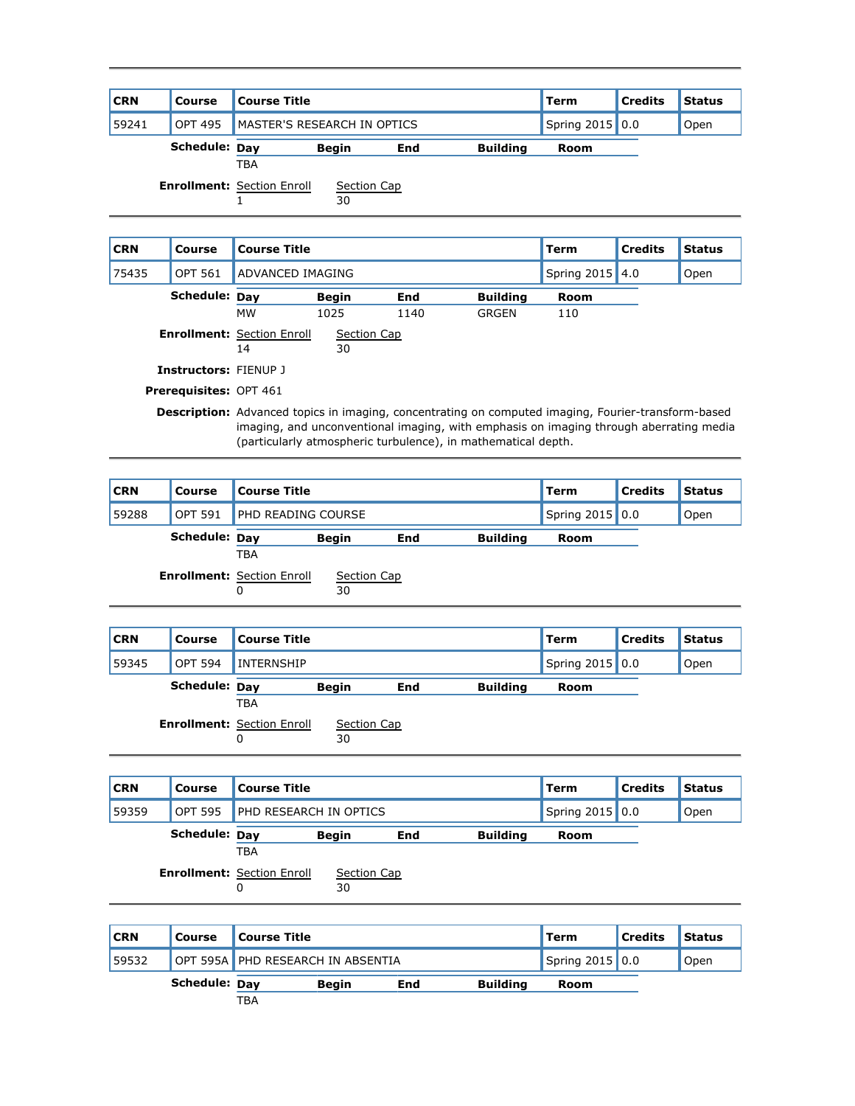| <b>CRN</b> | Course                       | <b>Course Title</b>                |                   |            |                 | <b>Term</b>     | <b>Credits</b> | <b>Status</b> |
|------------|------------------------------|------------------------------------|-------------------|------------|-----------------|-----------------|----------------|---------------|
|            |                              |                                    |                   |            |                 |                 |                |               |
| 59241      | <b>OPT 495</b>               | <b>MASTER'S RESEARCH IN OPTICS</b> |                   |            |                 | Spring 2015 0.0 |                | Open          |
|            | <b>Schedule: Day</b>         |                                    | <b>Begin</b>      | End        | <b>Building</b> | Room            |                |               |
|            |                              | <b>TBA</b>                         |                   |            |                 |                 |                |               |
|            |                              | <b>Enrollment: Section Enroll</b>  | Section Cap<br>30 |            |                 |                 |                |               |
|            |                              |                                    |                   |            |                 |                 |                |               |
|            |                              |                                    |                   |            |                 |                 |                |               |
| <b>CRN</b> | Course                       | <b>Course Title</b>                |                   |            |                 | <b>Term</b>     | <b>Credits</b> | <b>Status</b> |
| 75435      | <b>OPT 561</b>               | ADVANCED IMAGING                   |                   |            |                 | Spring 2015 4.0 |                | Open          |
|            | <b>Schedule: Day</b>         |                                    | <b>Begin</b>      | <b>End</b> | <b>Building</b> | Room            |                |               |
|            |                              | <b>MW</b>                          | 1025              | 1140       | <b>GRGEN</b>    | 110             |                |               |
|            |                              | <b>Enrollment: Section Enroll</b>  | Section Cap       |            |                 |                 |                |               |
|            |                              | 14                                 | 30                |            |                 |                 |                |               |
|            | <b>Instructors: FIENUP J</b> |                                    |                   |            |                 |                 |                |               |

**Description:** Advanced topics in imaging, concentrating on computed imaging, Fourier-transform-based imaging, and unconventional imaging, with emphasis on imaging through aberrating media (particularly atmospheric turbulence), in mathematical depth.

| <b>CRN</b> | <b>Course</b>  | <b>Course Title</b>                    |                   |     | Term            | <b>Credits</b> | <b>Status</b> |  |
|------------|----------------|----------------------------------------|-------------------|-----|-----------------|----------------|---------------|--|
| 59288      | <b>OPT 591</b> | <b>PHD READING COURSE</b>              |                   |     | Spring 2015 0.0 |                | Open          |  |
|            | Schedule: Day  |                                        | <b>Begin</b>      | End | <b>Building</b> | Room           |               |  |
|            |                | <b>TBA</b>                             |                   |     |                 |                |               |  |
|            |                | <b>Enrollment: Section Enroll</b><br>0 | Section Cap<br>30 |     |                 |                |               |  |
|            |                |                                        |                   |     |                 |                |               |  |

| <b>CRN</b> | Course         | <b>Course Title</b>                    |                   |     |                 | Term            | <b>Credits</b> | <b>Status</b> |
|------------|----------------|----------------------------------------|-------------------|-----|-----------------|-----------------|----------------|---------------|
| 59345      | <b>OPT 594</b> | <b>INTERNSHIP</b>                      |                   |     |                 | Spring 2015 0.0 |                | Open          |
|            | Schedule: Day  |                                        | <b>Begin</b>      | End | <b>Building</b> | Room            |                |               |
|            |                | <b>TBA</b>                             |                   |     |                 |                 |                |               |
|            |                | <b>Enrollment: Section Enroll</b><br>0 | Section Cap<br>30 |     |                 |                 |                |               |

| <b>CRN</b> | Course        | <b>Course Title</b>                             |                   |     |                 |      |      | <b>Status</b> |
|------------|---------------|-------------------------------------------------|-------------------|-----|-----------------|------|------|---------------|
| 59359      | OPT 595       | <b>PHD RESEARCH IN OPTICS</b>                   |                   |     | Spring 2015 0.0 |      | Open |               |
|            | Schedule: Day |                                                 | <b>Begin</b>      | End | <b>Building</b> | Room |      |               |
|            |               | <b>TBA</b><br><b>Enrollment: Section Enroll</b> | Section Cap<br>30 |     |                 |      |      |               |

| <b>CRN</b> | Course               | Course Title |                                   |     |      | ∥Term           | <b>Credits</b> | <b>Status</b> |
|------------|----------------------|--------------|-----------------------------------|-----|------|-----------------|----------------|---------------|
| 59532      |                      |              | OPT 595A PHD RESEARCH IN ABSENTIA |     |      | Spring 2015 0.0 |                | Open          |
|            | <b>Schedule: Dav</b> |              | <b>Beain</b>                      | End | Room |                 |                |               |
|            |                      | <b>TBA</b>   |                                   |     |      |                 |                |               |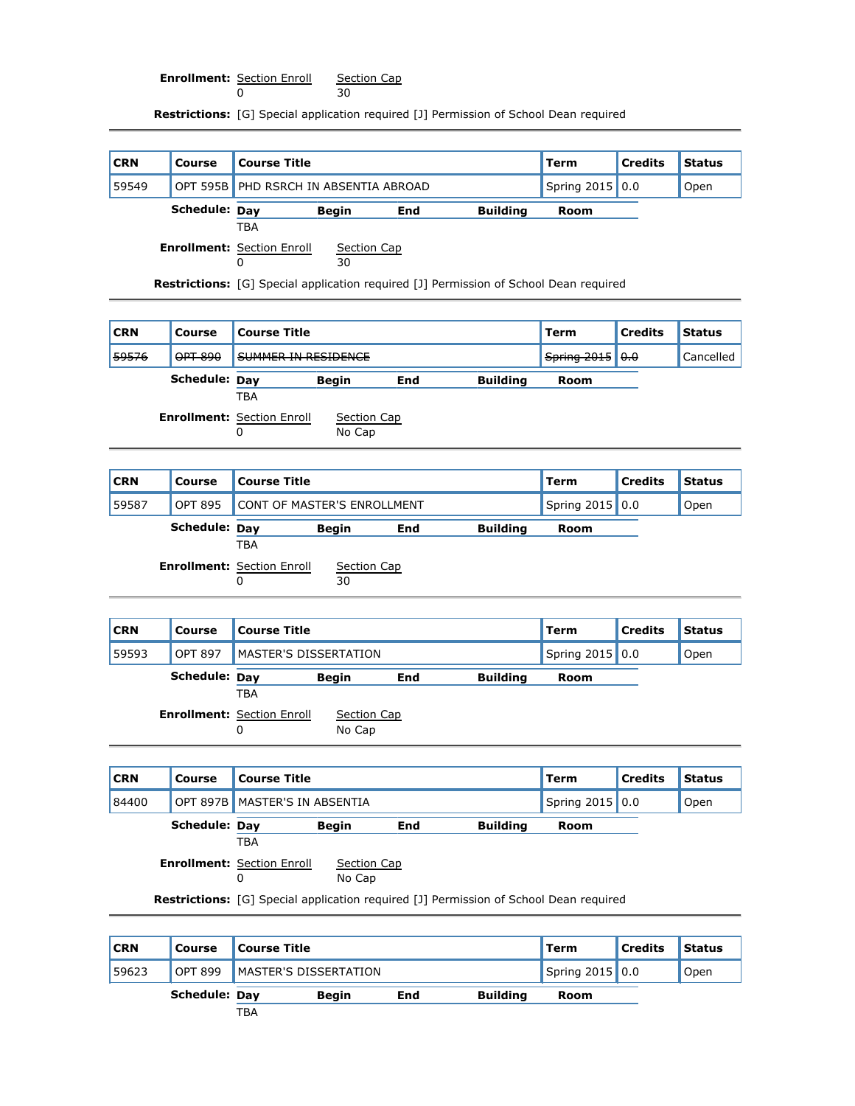**Enrollment:** Section Enroll 0 Section Cap 30

 $\overline{0}$ 

**Restrictions:** [G] Special application required [J] Permission of School Dean required

| <b>CRN</b> | Course        | Course Title                          |              |     |                 | ∥Term | <b>Credits</b> | <b>Status</b> |
|------------|---------------|---------------------------------------|--------------|-----|-----------------|-------|----------------|---------------|
| 59549      |               | OPT 595B PHD RSRCH IN ABSENTIA ABROAD |              |     | Spring 2015 0.0 |       | Open           |               |
|            | Schedule: Dav | TBA                                   | <b>Beain</b> | End | <b>Building</b> | Room  |                |               |
|            |               | <b>Enrollment: Section Enroll</b>     | Section Cap  |     |                 |       |                |               |

30

**Restrictions:** [G] Special application required [J] Permission of School Dean required

| <b>CRN</b> | <b>Course</b>      | <b>Course Title</b>                    |                       |     |                 | Term        | <b>Credits</b>      | <b>Status</b> |
|------------|--------------------|----------------------------------------|-----------------------|-----|-----------------|-------------|---------------------|---------------|
| 59576      | <del>OPT 890</del> | SUMMER IN RESIDENCE                    |                       |     |                 | Spring 2015 | $\theta$ . $\theta$ | Cancelled     |
|            | Schedule: Day      | TBA                                    | <b>Begin</b>          | End | <b>Building</b> | Room        |                     |               |
|            |                    | <b>Enrollment: Section Enroll</b><br>0 | Section Cap<br>No Cap |     |                 |             |                     |               |

| <b>CRN</b> | Course         | <b>Course Title</b>                             |                             |     |                 | <b>Term</b> | <b>Credits</b>  | <b>Status</b> |
|------------|----------------|-------------------------------------------------|-----------------------------|-----|-----------------|-------------|-----------------|---------------|
| 59587      | <b>OPT 895</b> |                                                 | CONT OF MASTER'S ENROLLMENT |     |                 |             | Spring 2015 0.0 | Open          |
|            | Schedule: Day  |                                                 | <b>Begin</b>                | End | <b>Building</b> | Room        |                 |               |
|            |                | <b>TBA</b><br><b>Enrollment: Section Enroll</b> | Section Cap                 |     |                 |             |                 |               |
|            |                | 0                                               | 30                          |     |                 |             |                 |               |

| <b>CRN</b> | <b>Course</b>        | <b>Course Title</b>                    |                       |     |                 | <b>Term</b>     | <b>Credits</b> | <b>Status</b> |
|------------|----------------------|----------------------------------------|-----------------------|-----|-----------------|-----------------|----------------|---------------|
| 59593      | <b>OPT 897</b>       | <b>MASTER'S DISSERTATION</b>           |                       |     |                 | Spring 2015 0.0 |                | Open          |
|            | <b>Schedule: Day</b> |                                        | <b>Begin</b>          | End | <b>Building</b> | Room            |                |               |
|            |                      | <b>TBA</b>                             |                       |     |                 |                 |                |               |
|            |                      | <b>Enrollment: Section Enroll</b><br>0 | Section Cap<br>No Cap |     |                 |                 |                |               |

| <b>CRN</b> | 'Course | <b>Course Title</b>           | ''Term          | <b>Credits</b> | <b>Status</b> |
|------------|---------|-------------------------------|-----------------|----------------|---------------|
| 84400      |         | OPT 897B MASTER'S IN ABSENTIA | Spring 2015 0.0 |                | Open          |

| <b>Schedule: Dav</b> | <b>Begin</b> | End | <b>Building</b> | <b>Room</b> |
|----------------------|--------------|-----|-----------------|-------------|
|                      |              |     |                 |             |

TBA **Enrollment:** Section Enroll Section Cap

0

No Cap

**Restrictions:** [G] Special application required [J] Permission of School Dean required

| <b>CRN</b> | <b>Course</b>        | <b>Course Title</b> |                                        |  |  | Term | <b>Credits</b>  | <b>Status</b> |
|------------|----------------------|---------------------|----------------------------------------|--|--|------|-----------------|---------------|
| 59623      | <b>OPT 899</b>       |                     | <b>MASTER'S DISSERTATION</b>           |  |  |      | Spring 2015 0.0 | Open          |
|            | <b>Schedule: Dav</b> |                     | <b>Building</b><br><b>Begin</b><br>End |  |  | Room |                 |               |
|            |                      | TBA                 |                                        |  |  |      |                 |               |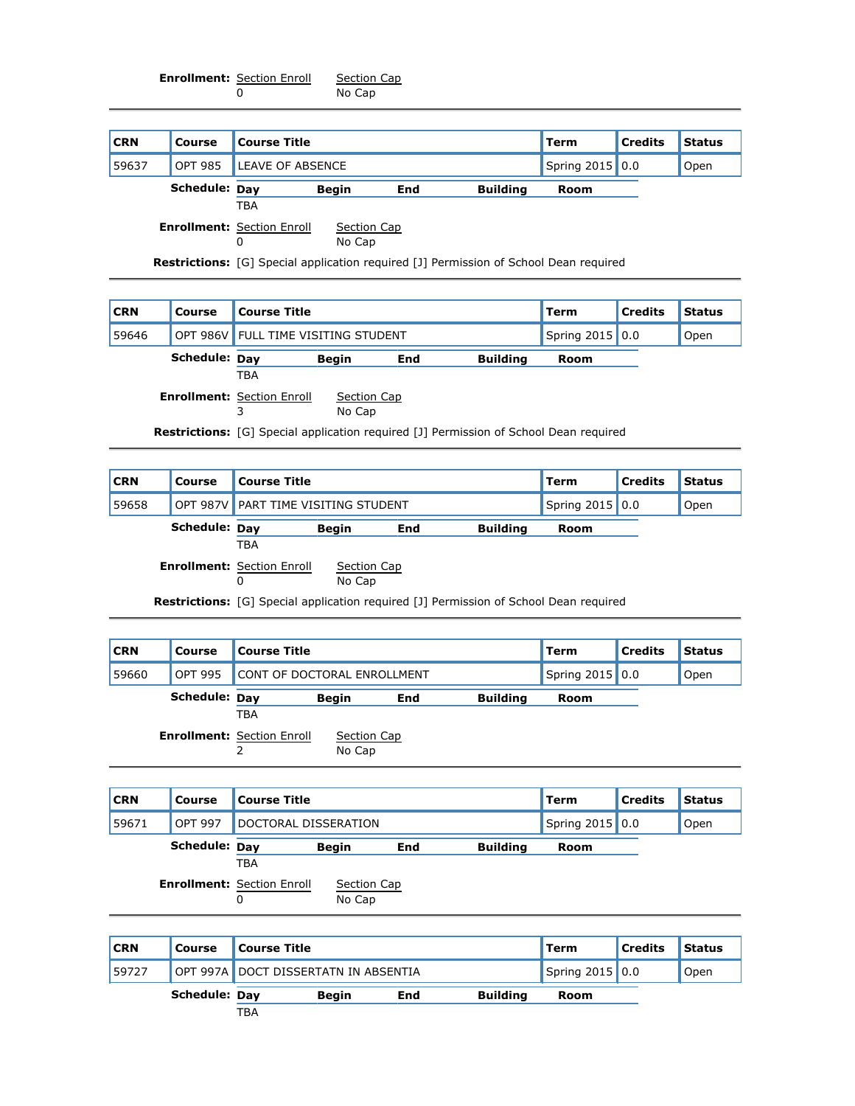**Enrollment:** Section Enroll 0 Section Cap No Cap

| <b>CRN</b> | <b>Course</b>  | <b>Course Title</b>               |              |     |                 | <b>Term</b>     | <b>Credits</b> | <b>Status</b> |
|------------|----------------|-----------------------------------|--------------|-----|-----------------|-----------------|----------------|---------------|
| 59637      | <b>OPT 985</b> | LEAVE OF ABSENCE                  |              |     |                 | Spring 2015 0.0 |                | Open          |
|            | Schedule: Day  |                                   | <b>Begin</b> | End | <b>Building</b> | Room            |                |               |
|            |                | <b>TBA</b>                        |              |     |                 |                 |                |               |
|            |                | <b>Enrollment: Section Enroll</b> | Section Cap  |     |                 |                 |                |               |
|            |                | 0                                 | No Cap       |     |                 |                 |                |               |

**Restrictions:** [G] Special application required [J] Permission of School Dean required

| <b>CRN</b> | Course        | <b>Course Title</b>                 |                       |     | l Term                                                                                       | <b>Credits</b>  | <b>Status</b> |      |
|------------|---------------|-------------------------------------|-----------------------|-----|----------------------------------------------------------------------------------------------|-----------------|---------------|------|
| 59646      |               | OPT 986V FULL TIME VISITING STUDENT |                       |     |                                                                                              | Spring 2015 0.0 |               | Open |
|            | Schedule: Day |                                     | <b>Begin</b>          | End | <b>Building</b>                                                                              | <b>Room</b>     |               |      |
|            |               | TBA                                 |                       |     |                                                                                              |                 |               |      |
|            |               | <b>Enrollment: Section Enroll</b>   | Section Cap<br>No Cap |     |                                                                                              |                 |               |      |
|            |               |                                     |                       |     | <b>Restrictions:</b> [G] Special application required [J] Permission of School Dean required |                 |               |      |

| <b>CRN</b> | Course        | <b>Course Title</b>                    |                       |     | Term                                                                                         | <b>Credits</b>  | <b>Status</b> |      |
|------------|---------------|----------------------------------------|-----------------------|-----|----------------------------------------------------------------------------------------------|-----------------|---------------|------|
| 59658      |               | OPT 987V PART TIME VISITING STUDENT    |                       |     |                                                                                              | Spring 2015 0.0 |               | Open |
|            | Schedule: Dav |                                        | <b>Begin</b>          | End | <b>Building</b>                                                                              | <b>Room</b>     |               |      |
|            |               | <b>TBA</b>                             |                       |     |                                                                                              |                 |               |      |
|            |               | <b>Enrollment: Section Enroll</b><br>0 | Section Cap<br>No Cap |     |                                                                                              |                 |               |      |
|            |               |                                        |                       |     | <b>Restrictions:</b> [G] Special application required [J] Permission of School Dean required |                 |               |      |

| <b>CRN</b> | Course         | <b>Course Title</b>                                                                      |                 | Term        | <b>Credits</b> | <b>Status</b> |
|------------|----------------|------------------------------------------------------------------------------------------|-----------------|-------------|----------------|---------------|
| 59660      | <b>OPT 995</b> | CONT OF DOCTORAL ENROLLMENT                                                              | Spring 2015 0.0 |             | Open           |               |
|            | Schedule: Day  | <b>Begin</b><br>End<br>TBA<br><b>Enrollment: Section Enroll</b><br>Section Cap<br>No Cap | <b>Building</b> | <b>Room</b> |                |               |
| <b>CRN</b> | Course         | <b>Course Title</b>                                                                      |                 | <b>Term</b> | <b>Credits</b> | <b>Status</b> |

| 59671 | <b>OPT 997</b>       | DOCTORAL DISSERATION                     |                       |     |                 | Spring 2015 0.0 | Open |
|-------|----------------------|------------------------------------------|-----------------------|-----|-----------------|-----------------|------|
|       | <b>Schedule: Dav</b> |                                          | <b>Begin</b>          | End | <b>Building</b> | Room            |      |
|       |                      | TBA<br><b>Enrollment: Section Enroll</b> | Section Cap<br>No Cap |     |                 |                 |      |

| <b>CRN</b> | <b>Course</b>        | Course Title |                                      |     | ll Term         | <b>Credits</b> | <b>Status</b> |  |
|------------|----------------------|--------------|--------------------------------------|-----|-----------------|----------------|---------------|--|
| 59727      |                      |              | OPT 997A DOCT DISSERTATN IN ABSENTIA |     | Spring 2015 0.0 |                | Open          |  |
|            | <b>Schedule: Dav</b> |              | <b>Beain</b>                         | End | <b>Building</b> | Room           |               |  |
|            |                      | TBA          |                                      |     |                 |                |               |  |